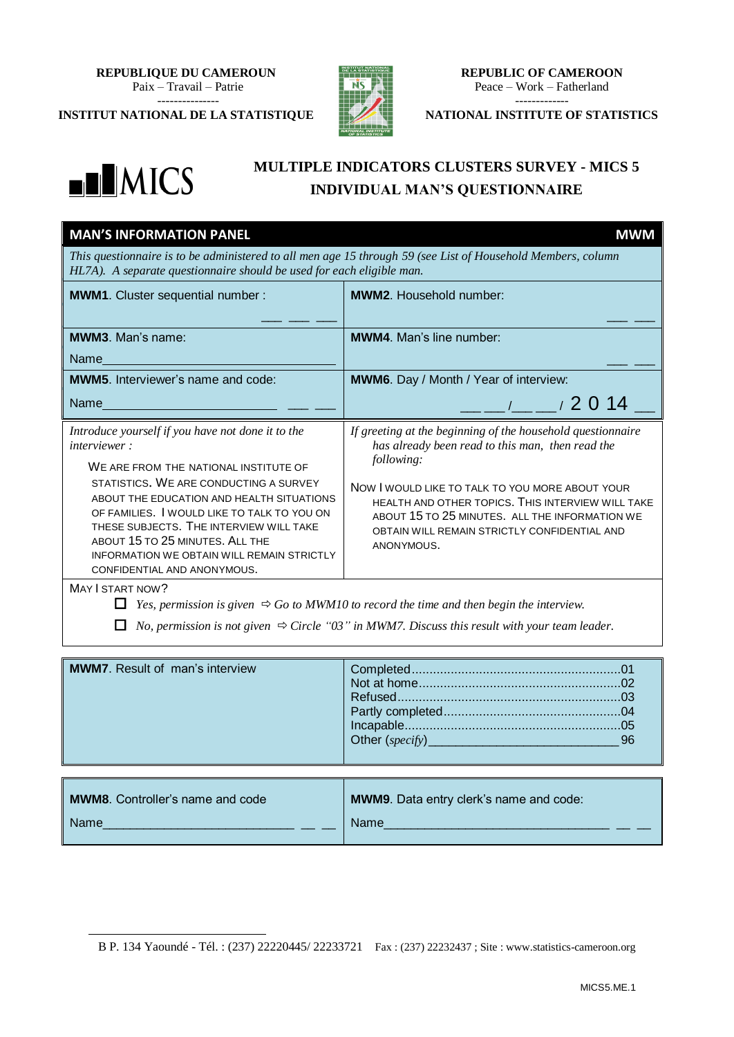**REPUBLIQUE DU CAMEROUN** Paix – Travail – Patrie ---------------

**INSTITUT NATIONAL DE LA STATISTIQUE**



**REPUBLIC OF CAMEROON** Peace – Work – Fatherland -------------

**NATIONAL INSTITUTE OF STATISTICS**



1

## **MULTIPLE INDICATORS CLUSTERS SURVEY - MICS 5 INDIVIDUAL MAN'S QUESTIONNAIRE**

| <b>MAN'S INFORMATION PANEL</b>                                                                                                                                                                                                                                                                                                                                                                                                                | <b>MWM</b>                                                                                                                                                                                                                                                                                                                                                                                                                                                                                                                                                                |  |
|-----------------------------------------------------------------------------------------------------------------------------------------------------------------------------------------------------------------------------------------------------------------------------------------------------------------------------------------------------------------------------------------------------------------------------------------------|---------------------------------------------------------------------------------------------------------------------------------------------------------------------------------------------------------------------------------------------------------------------------------------------------------------------------------------------------------------------------------------------------------------------------------------------------------------------------------------------------------------------------------------------------------------------------|--|
| This questionnaire is to be administered to all men age 15 through 59 (see List of Household Members, column<br>HL7A). A separate questionnaire should be used for each eligible man.                                                                                                                                                                                                                                                         |                                                                                                                                                                                                                                                                                                                                                                                                                                                                                                                                                                           |  |
| MWM1. Cluster sequential number :                                                                                                                                                                                                                                                                                                                                                                                                             | <b>MWM2.</b> Household number:                                                                                                                                                                                                                                                                                                                                                                                                                                                                                                                                            |  |
| <b>MWM3.</b> Man's name:<br>Name and the set of the set of the set of the set of the set of the set of the set of the set of the set of th                                                                                                                                                                                                                                                                                                    | <b>MWM4.</b> Man's line number:                                                                                                                                                                                                                                                                                                                                                                                                                                                                                                                                           |  |
| <b>MWM5.</b> Interviewer's name and code:                                                                                                                                                                                                                                                                                                                                                                                                     | MWM6. Day / Month / Year of interview:                                                                                                                                                                                                                                                                                                                                                                                                                                                                                                                                    |  |
| Name and the contract of the contract of the                                                                                                                                                                                                                                                                                                                                                                                                  | $\frac{1}{2}$ / $\frac{1}{2}$ 0 14                                                                                                                                                                                                                                                                                                                                                                                                                                                                                                                                        |  |
| Introduce yourself if you have not done it to the<br><i>interviewer:</i><br>WE ARE FROM THE NATIONAL INSTITUTE OF<br>STATISTICS. WE ARE CONDUCTING A SURVEY<br>ABOUT THE EDUCATION AND HEALTH SITUATIONS<br>OF FAMILIES. I WOULD LIKE TO TALK TO YOU ON<br>THESE SUBJECTS. THE INTERVIEW WILL TAKE<br>ABOUT 15 TO 25 MINUTES. ALL THE<br><b>INFORMATION WE OBTAIN WILL REMAIN STRICTLY</b><br>CONFIDENTIAL AND ANONYMOUS.<br>MAY I START NOW? | If greeting at the beginning of the household questionnaire<br>has already been read to this man, then read the<br>following:<br>NOW I WOULD LIKE TO TALK TO YOU MORE ABOUT YOUR<br>HEALTH AND OTHER TOPICS. THIS INTERVIEW WILL TAKE<br>ABOUT 15 TO 25 MINUTES. ALL THE INFORMATION WE<br>OBTAIN WILL REMAIN STRICTLY CONFIDENTIAL AND<br>ANONYMOUS.<br>Yes, permission is given $\Rightarrow$ Go to MWM10 to record the time and then begin the interview.<br>No, permission is not given $\Rightarrow$ Circle "03" in MWM7. Discuss this result with your team leader. |  |
| <b>MWM7.</b> Result of man's interview                                                                                                                                                                                                                                                                                                                                                                                                        | 96                                                                                                                                                                                                                                                                                                                                                                                                                                                                                                                                                                        |  |

| <b>MWM8.</b> Controller's name and code | <b>MWM9.</b> Data entry clerk's name and code: |
|-----------------------------------------|------------------------------------------------|
| <b>Name</b>                             | <b>Name</b>                                    |

<sup>1</sup> B P. 134 Yaoundé - Tél. : (237) 22220445/ 22233721 Fax : (237) 22232437 ; Site : www.statistics-cameroon.org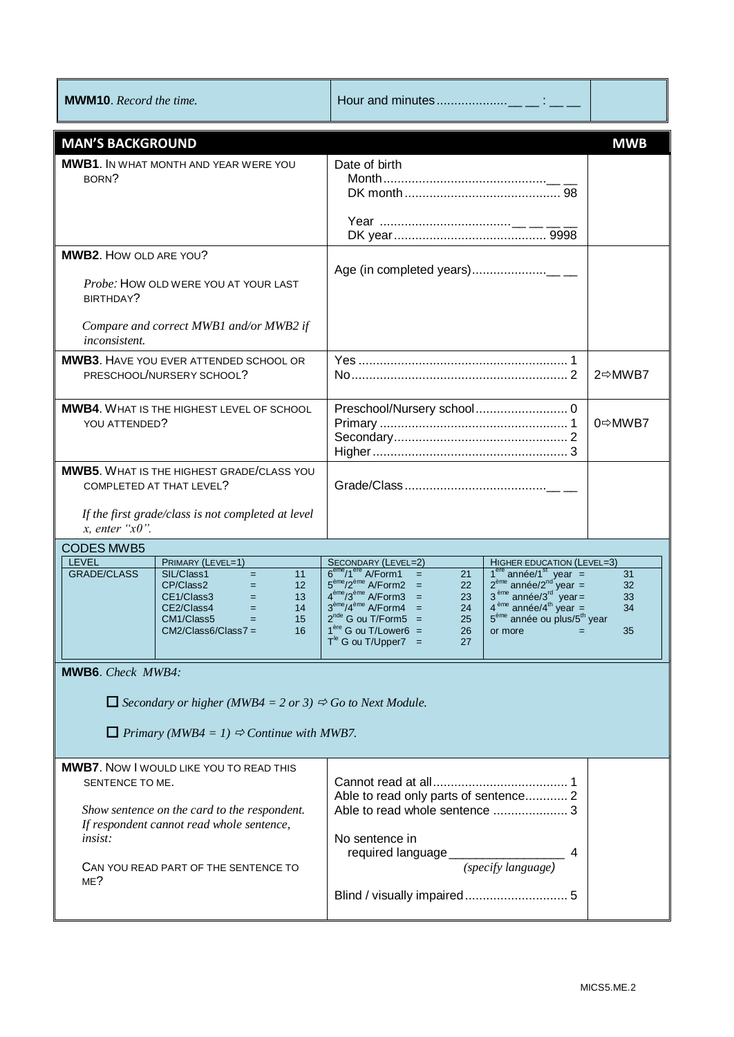| <b>MWM10.</b> Record the time.    |                                                                                                                                                                                                                           |                                                                                                                                                                                                                                                                                                                                     |                                                                                                                                                                                                                                                                                       |                            |
|-----------------------------------|---------------------------------------------------------------------------------------------------------------------------------------------------------------------------------------------------------------------------|-------------------------------------------------------------------------------------------------------------------------------------------------------------------------------------------------------------------------------------------------------------------------------------------------------------------------------------|---------------------------------------------------------------------------------------------------------------------------------------------------------------------------------------------------------------------------------------------------------------------------------------|----------------------------|
| <b>MAN'S BACKGROUND</b>           |                                                                                                                                                                                                                           |                                                                                                                                                                                                                                                                                                                                     |                                                                                                                                                                                                                                                                                       | <b>MWB</b>                 |
| BORN?                             | <b>MWB1.</b> IN WHAT MONTH AND YEAR WERE YOU                                                                                                                                                                              | Date of birth                                                                                                                                                                                                                                                                                                                       |                                                                                                                                                                                                                                                                                       |                            |
| <b>MWB2. HOW OLD ARE YOU?</b>     |                                                                                                                                                                                                                           |                                                                                                                                                                                                                                                                                                                                     |                                                                                                                                                                                                                                                                                       |                            |
| BIRTHDAY?                         | Probe: HOW OLD WERE YOU AT YOUR LAST                                                                                                                                                                                      |                                                                                                                                                                                                                                                                                                                                     |                                                                                                                                                                                                                                                                                       |                            |
| inconsistent.                     | Compare and correct MWB1 and/or MWB2 if                                                                                                                                                                                   |                                                                                                                                                                                                                                                                                                                                     |                                                                                                                                                                                                                                                                                       |                            |
|                                   | <b>MWB3.</b> HAVE YOU EVER ATTENDED SCHOOL OR<br>PRESCHOOL/NURSERY SCHOOL?                                                                                                                                                |                                                                                                                                                                                                                                                                                                                                     |                                                                                                                                                                                                                                                                                       | 2⇔MWB7                     |
| YOU ATTENDED?                     | <b>MWB4.</b> WHAT IS THE HIGHEST LEVEL OF SCHOOL                                                                                                                                                                          |                                                                                                                                                                                                                                                                                                                                     |                                                                                                                                                                                                                                                                                       | 0⇒MWB7                     |
| $x$ , enter " $x0$ ".             | <b>MWB5.</b> WHAT IS THE HIGHEST GRADE/CLASS YOU<br>COMPLETED AT THAT LEVEL?<br>If the first grade/class is not completed at level                                                                                        |                                                                                                                                                                                                                                                                                                                                     |                                                                                                                                                                                                                                                                                       |                            |
| <b>CODES MWB5</b>                 |                                                                                                                                                                                                                           |                                                                                                                                                                                                                                                                                                                                     |                                                                                                                                                                                                                                                                                       |                            |
| LEVEL<br><b>GRADE/CLASS</b>       | PRIMARY (LEVEL=1)<br>SIL/Class1<br>$\equiv$<br>11<br>CP/Class2<br>12<br>$=$ 100 $-$<br>CE1/Class3<br>13<br>$\mathbf{r} = \mathbf{r}$<br>CE2/Class4<br>14<br>$=$<br>CM1/Class5<br>15<br>$=$<br>$CM2/Class6/Class7 =$<br>16 | SECONDARY (LEVEL=2)<br>$6^{\text{eme}}/1^{\text{ere}}$ A/Form1 =<br>21<br>$5^{\text{eme}}/2^{\text{eme}}$ A/Form2 =<br>22<br>$4^{\text{eme}}/3^{\text{eme}}$ A/Form3 =<br>23<br>$3^{\text{eme}}/4^{\text{eme}}$ A/Form4 =<br>24<br>$2^{nde}$ G ou T/Form5 =<br>25<br>$1ère$ G ou T/Lower6 =<br>26<br>$T^{le}$ G ou T/Upper7 =<br>27 | HIGHER EDUCATION (LEVEL=3)<br>$74$ année/1 <sup>st</sup> year =<br>2 <sup>4m</sup> année/2 <sup>nd</sup> year =<br>3 <sup>4m</sup> année/3 <sup>rd</sup> year =<br>4 <sup>4m</sup> année/4 <sup>th</sup> year =<br>5 <sup>ème</sup> année ou plus/5 <sup>th</sup> year<br>or more $=$ | 31<br>32<br>33<br>34<br>35 |
| MWB6. Check MWB4:                 |                                                                                                                                                                                                                           |                                                                                                                                                                                                                                                                                                                                     |                                                                                                                                                                                                                                                                                       |                            |
|                                   | $\Box$ Secondary or higher (MWB4 = 2 or 3) $\Rightarrow$ Go to Next Module.                                                                                                                                               |                                                                                                                                                                                                                                                                                                                                     |                                                                                                                                                                                                                                                                                       |                            |
|                                   | Primary (MWB4 = 1) $\Rightarrow$ Continue with MWB7.                                                                                                                                                                      |                                                                                                                                                                                                                                                                                                                                     |                                                                                                                                                                                                                                                                                       |                            |
| SENTENCE TO ME.<br>insist:<br>ME? | <b>MWB7.</b> NOW I WOULD LIKE YOU TO READ THIS<br>Show sentence on the card to the respondent.<br>If respondent cannot read whole sentence,<br>CAN YOU READ PART OF THE SENTENCE TO                                       | Able to read only parts of sentence 2<br>Able to read whole sentence  3<br>No sentence in                                                                                                                                                                                                                                           |                                                                                                                                                                                                                                                                                       |                            |
|                                   |                                                                                                                                                                                                                           |                                                                                                                                                                                                                                                                                                                                     |                                                                                                                                                                                                                                                                                       |                            |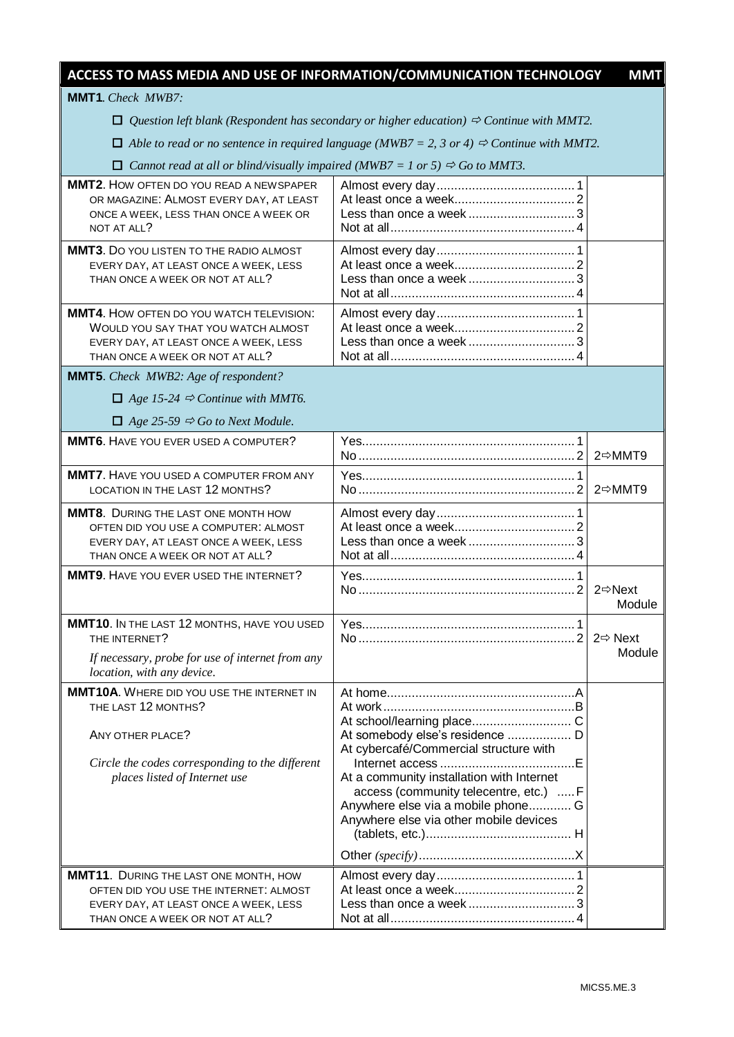| ACCESS TO MASS MEDIA AND USE OF INFORMATION/COMMUNICATION TECHNOLOGY                                                                                                            |                                                                                                                                                                                                                                                  | <b>MMT</b>                     |
|---------------------------------------------------------------------------------------------------------------------------------------------------------------------------------|--------------------------------------------------------------------------------------------------------------------------------------------------------------------------------------------------------------------------------------------------|--------------------------------|
| <b>MMT1.</b> Check MWB7:                                                                                                                                                        |                                                                                                                                                                                                                                                  |                                |
|                                                                                                                                                                                 | $\Box$ Question left blank (Respondent has secondary or higher education) $\Rightarrow$ Continue with MMT2.                                                                                                                                      |                                |
|                                                                                                                                                                                 | $\Box$ Able to read or no sentence in required language (MWB7 = 2, 3 or 4) $\Rightarrow$ Continue with MMT2.                                                                                                                                     |                                |
| $\Box$ Cannot read at all or blind/visually impaired (MWB7 = 1 or 5) $\Rightarrow$ Go to MMT3.                                                                                  |                                                                                                                                                                                                                                                  |                                |
| <b>MMT2.</b> How OFTEN DO YOU READ A NEWSPAPER<br>OR MAGAZINE: ALMOST EVERY DAY, AT LEAST<br>ONCE A WEEK, LESS THAN ONCE A WEEK OR<br>NOT AT ALL?                               |                                                                                                                                                                                                                                                  |                                |
| <b>MMT3.</b> DO YOU LISTEN TO THE RADIO ALMOST<br>EVERY DAY, AT LEAST ONCE A WEEK, LESS<br>THAN ONCE A WEEK OR NOT AT ALL?                                                      | Less than once a week                                                                                                                                                                                                                            |                                |
| MMT4. HOW OFTEN DO YOU WATCH TELEVISION:<br>WOULD YOU SAY THAT YOU WATCH ALMOST<br>EVERY DAY, AT LEAST ONCE A WEEK, LESS<br>THAN ONCE A WEEK OR NOT AT ALL?                     | Less than once a week3                                                                                                                                                                                                                           |                                |
| <b>MMT5.</b> Check MWB2: Age of respondent?                                                                                                                                     |                                                                                                                                                                                                                                                  |                                |
| $\Box$ Age 15-24 $\Rightarrow$ Continue with MMT6.                                                                                                                              |                                                                                                                                                                                                                                                  |                                |
| $\Box$ Age 25-59 $\Rightarrow$ Go to Next Module.                                                                                                                               |                                                                                                                                                                                                                                                  |                                |
| <b>MMT6.</b> HAVE YOU EVER USED A COMPUTER?                                                                                                                                     |                                                                                                                                                                                                                                                  | 2⇔MMT9                         |
| <b>MMT7.</b> HAVE YOU USED A COMPUTER FROM ANY<br>LOCATION IN THE LAST 12 MONTHS?                                                                                               |                                                                                                                                                                                                                                                  | 2⇔MMT9                         |
| <b>MMT8.</b> DURING THE LAST ONE MONTH HOW<br>OFTEN DID YOU USE A COMPUTER: ALMOST<br>EVERY DAY, AT LEAST ONCE A WEEK, LESS<br>THAN ONCE A WEEK OR NOT AT ALL?                  | Less than once a week3                                                                                                                                                                                                                           |                                |
| MMT9. HAVE YOU EVER USED THE INTERNET?                                                                                                                                          |                                                                                                                                                                                                                                                  | $2 \Rightarrow$ Next<br>Module |
| MMT10. IN THE LAST 12 MONTHS, HAVE YOU USED<br>THE INTERNET?<br>If necessary, probe for use of internet from any<br>location, with any device.                                  |                                                                                                                                                                                                                                                  | $2 \Rightarrow$ Next<br>Module |
| <b>MMT10A.</b> WHERE DID YOU USE THE INTERNET IN<br>THE LAST 12 MONTHS?<br>ANY OTHER PLACE?<br>Circle the codes corresponding to the different<br>places listed of Internet use | At somebody else's residence  D<br>At cybercafé/Commercial structure with<br>At a community installation with Internet<br>access (community telecentre, etc.)  F<br>Anywhere else via a mobile phone G<br>Anywhere else via other mobile devices |                                |
| <b>MMT11.</b> DURING THE LAST ONE MONTH, HOW<br>OFTEN DID YOU USE THE INTERNET: ALMOST<br>EVERY DAY, AT LEAST ONCE A WEEK, LESS<br>THAN ONCE A WEEK OR NOT AT ALL?              |                                                                                                                                                                                                                                                  |                                |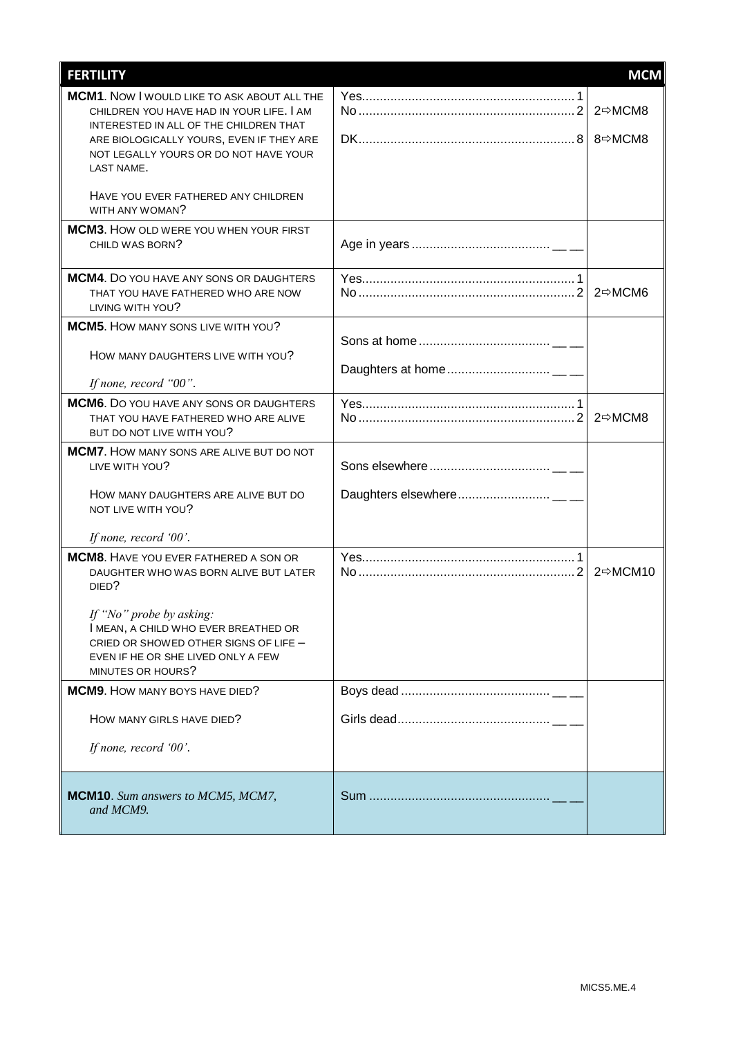| <b>FERTILITY</b>                                                                                                                                                     | <b>MCM</b> |
|----------------------------------------------------------------------------------------------------------------------------------------------------------------------|------------|
| <b>MCM1.</b> Now I would like to ASK ABOUT ALL THE<br>CHILDREN YOU HAVE HAD IN YOUR LIFE, I AM<br>INTERESTED IN ALL OF THE CHILDREN THAT                             | 2⇔MCM8     |
| ARE BIOLOGICALLY YOURS, EVEN IF THEY ARE<br>NOT LEGALLY YOURS OR DO NOT HAVE YOUR<br>LAST NAME.                                                                      | 8⇔MCM8     |
| HAVE YOU EVER FATHERED ANY CHILDREN<br>WITH ANY WOMAN?                                                                                                               |            |
| <b>MCM3.</b> HOW OLD WERE YOU WHEN YOUR FIRST<br>CHILD WAS BORN?                                                                                                     |            |
| <b>MCM4.</b> Do you have any sons or DAUGHTERS<br>THAT YOU HAVE FATHERED WHO ARE NOW<br>LIVING WITH YOU?                                                             | 2⇔MCM6     |
| <b>MCM5.</b> HOW MANY SONS LIVE WITH YOU?                                                                                                                            |            |
| HOW MANY DAUGHTERS LIVE WITH YOU?                                                                                                                                    |            |
| If none, record "00".                                                                                                                                                |            |
| <b>MCM6.</b> Do you have any sons or daughters<br>THAT YOU HAVE FATHERED WHO ARE ALIVE<br>BUT DO NOT LIVE WITH YOU?                                                  | 2⇔MCM8     |
| <b>MCM7.</b> HOW MANY SONS ARE ALIVE BUT DO NOT<br>LIVE WITH YOU?                                                                                                    |            |
| HOW MANY DAUGHTERS ARE ALIVE BUT DO<br>NOT LIVE WITH YOU?                                                                                                            |            |
| If none, record '00'.                                                                                                                                                |            |
| <b>MCM8.</b> HAVE YOU EVER FATHERED A SON OR<br>DAUGHTER WHO WAS BORN ALIVE BUT LATER<br>DIED?                                                                       | 2 ☆MCM10   |
| If "No" probe by asking:<br>I MEAN, A CHILD WHO EVER BREATHED OR<br>CRIED OR SHOWED OTHER SIGNS OF LIFE -<br>EVEN IF HE OR SHE LIVED ONLY A FEW<br>MINUTES OR HOURS? |            |
| <b>MCM9.</b> HOW MANY BOYS HAVE DIED?                                                                                                                                |            |
| HOW MANY GIRLS HAVE DIED?                                                                                                                                            |            |
| If none, record '00'.                                                                                                                                                |            |
| MCM10. Sum answers to MCM5, MCM7,<br>and MCM9.                                                                                                                       |            |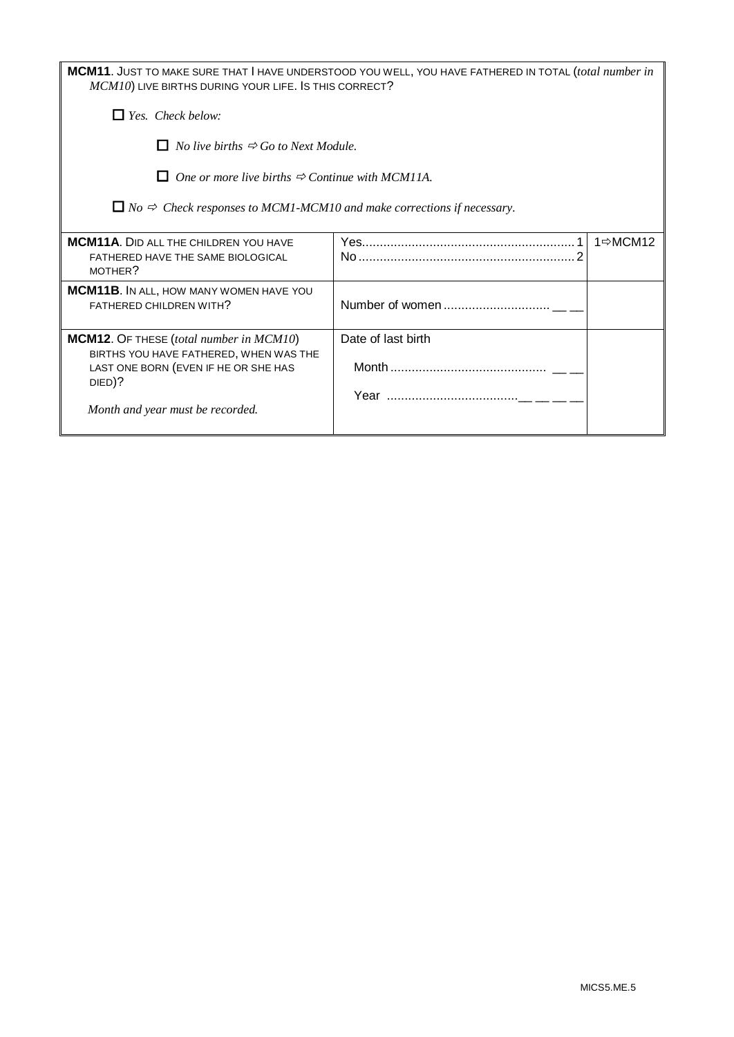| MCM11. JUST TO MAKE SURE THAT I HAVE UNDERSTOOD YOU WELL, YOU HAVE FATHERED IN TOTAL (total number in |
|-------------------------------------------------------------------------------------------------------|
| $MCM10$ ) LIVE BIRTHS DURING YOUR LIFE. IS THIS CORRECT?                                              |
|                                                                                                       |

*Yes. Check below:*

 $\Box$  *No live births*  $\Rightarrow$  *Go to Next Module.* 

 $\Box$  One or more live births  $\Rightarrow$  Continue with MCM11A.

 $\Box$  *No*  $\Rightarrow$  *Check responses to MCM1-MCM10 and make corrections if necessary.* 

| <b>MCM11A.</b> DID ALL THE CHILDREN YOU HAVE<br>FATHERED HAVE THE SAME BIOLOGICAL<br>MOTHER?                                 |                    | 1⇔MCM12 |
|------------------------------------------------------------------------------------------------------------------------------|--------------------|---------|
| <b>MCM11B.</b> IN ALL, HOW MANY WOMEN HAVE YOU<br>FATHERED CHILDREN WITH?                                                    |                    |         |
| <b>MCM12.</b> OF THESE (total number in MCM10)                                                                               | Date of last birth |         |
| BIRTHS YOU HAVE FATHERED, WHEN WAS THE<br>LAST ONE BORN (EVEN IF HE OR SHE HAS<br>DIED)?<br>Month and year must be recorded. |                    |         |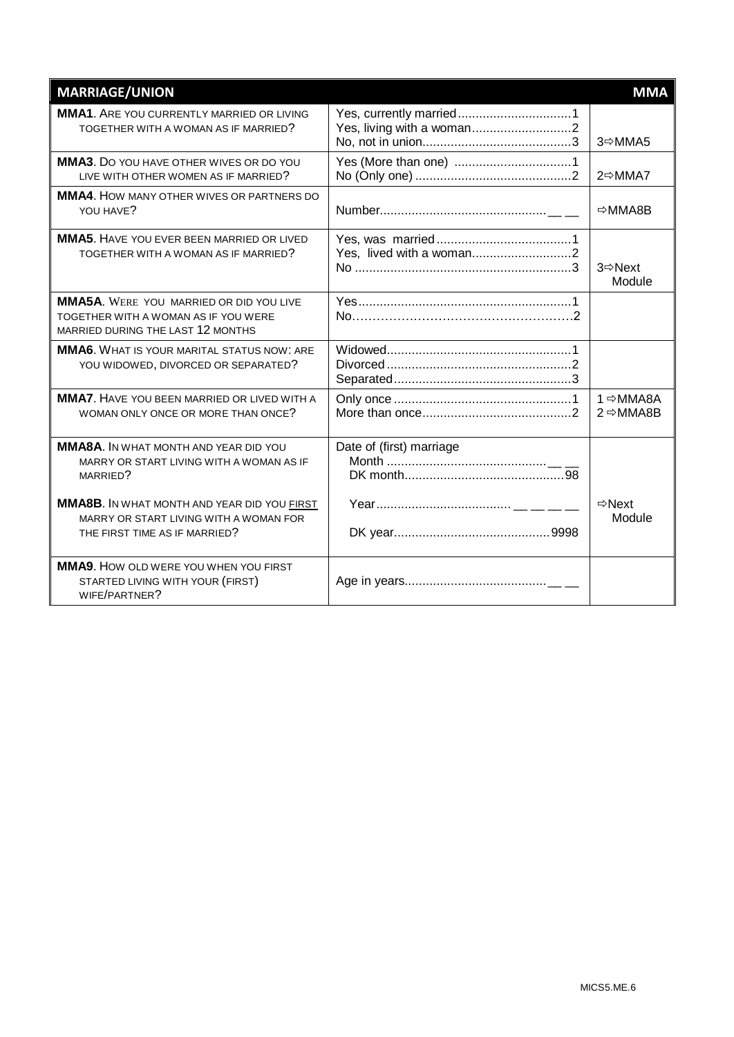| <b>MARRIAGE/UNION</b>                                                                                                         |                          | <b>MMA</b>                                    |
|-------------------------------------------------------------------------------------------------------------------------------|--------------------------|-----------------------------------------------|
| <b>MMA1.</b> ARE YOU CURRENTLY MARRIED OR LIVING<br>TOGETHER WITH A WOMAN AS IF MARRIED?                                      |                          | 3⇔MMA5                                        |
| MMA3. Do you have OTHER WIVES OR DO YOU<br>LIVE WITH OTHER WOMEN AS IF MARRIED?                                               |                          | 2⇔MMA7                                        |
| MMA4. HOW MANY OTHER WIVES OR PARTNERS DO<br>YOU HAVE?                                                                        |                          | <b>⇒MMA8B</b>                                 |
| <b>MMA5.</b> HAVE YOU EVER BEEN MARRIED OR LIVED<br>TOGETHER WITH A WOMAN AS IF MARRIED?                                      | Yes, lived with a woman2 | 3 <del></del> Next<br>Module                  |
| MMA5A. WERE YOU MARRIED OR DID YOU LIVE<br>TOGETHER WITH A WOMAN AS IF YOU WERE<br>MARRIED DURING THE LAST 12 MONTHS          |                          |                                               |
| <b>MMA6.</b> WHAT IS YOUR MARITAL STATUS NOW: ARE<br>YOU WIDOWED, DIVORCED OR SEPARATED?                                      |                          |                                               |
| <b>MMA7.</b> HAVE YOU BEEN MARRIED OR LIVED WITH A<br>WOMAN ONLY ONCE OR MORE THAN ONCE?                                      |                          | 1 <sup>⇔</sup> MMA8A<br>$2 \Rightarrow$ MMA8B |
| <b>MMA8A.</b> IN WHAT MONTH AND YEAR DID YOU<br>MARRY OR START LIVING WITH A WOMAN AS IF<br>MARRIED?                          | Date of (first) marriage |                                               |
| <b>MMA8B.</b> IN WHAT MONTH AND YEAR DID YOU FIRST<br>MARRY OR START LIVING WITH A WOMAN FOR<br>THE FIRST TIME AS IF MARRIED? |                          | $\Rightarrow$ Next<br>Module                  |
| <b>MMA9.</b> HOW OLD WERE YOU WHEN YOU FIRST<br>STARTED LIVING WITH YOUR (FIRST)<br>WIFE/PARTNER?                             |                          |                                               |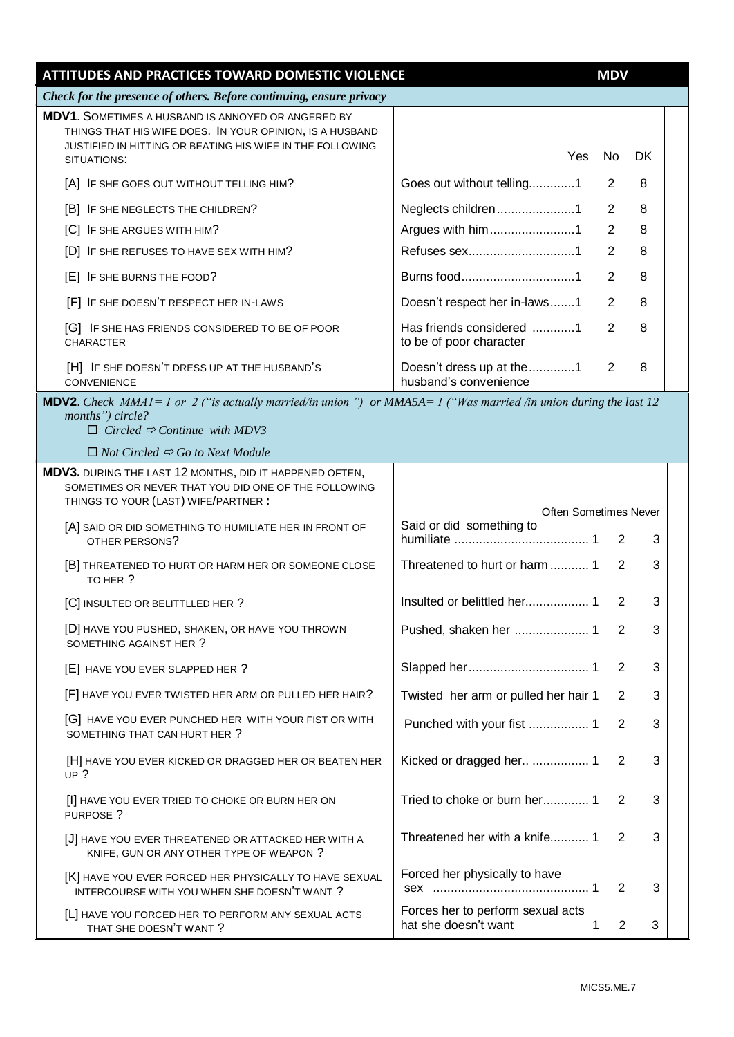| ATTITUDES AND PRACTICES TOWARD DOMESTIC VIOLENCE                                                                                                                                                     |                                                           | <b>MDV</b>     |     |  |
|------------------------------------------------------------------------------------------------------------------------------------------------------------------------------------------------------|-----------------------------------------------------------|----------------|-----|--|
| Check for the presence of others. Before continuing, ensure privacy                                                                                                                                  |                                                           |                |     |  |
| <b>MDV1.</b> SOMETIMES A HUSBAND IS ANNOYED OR ANGERED BY<br>THINGS THAT HIS WIFE DOES. IN YOUR OPINION, IS A HUSBAND<br>JUSTIFIED IN HITTING OR BEATING HIS WIFE IN THE FOLLOWING<br>SITUATIONS:    | Yes                                                       | No             | DK. |  |
| [A] IF SHE GOES OUT WITHOUT TELLING HIM?                                                                                                                                                             | Goes out without telling1                                 | 2              | 8   |  |
| [B] IF SHE NEGLECTS THE CHILDREN?                                                                                                                                                                    | Neglects children1                                        | 2              | 8   |  |
| [C] IF SHE ARGUES WITH HIM?                                                                                                                                                                          | Argues with him1                                          | 2              | 8   |  |
| [D] IF SHE REFUSES TO HAVE SEX WITH HIM?                                                                                                                                                             |                                                           | $\overline{2}$ | 8   |  |
| [E] IF SHE BURNS THE FOOD?                                                                                                                                                                           | Burns food1                                               | 2              | 8   |  |
| [F] IF SHE DOESN'T RESPECT HER IN-LAWS                                                                                                                                                               | Doesn't respect her in-laws1                              | $\overline{2}$ | 8   |  |
| [G] IF SHE HAS FRIENDS CONSIDERED TO BE OF POOR<br><b>CHARACTER</b>                                                                                                                                  | Has friends considered 1<br>to be of poor character       | $\overline{2}$ | 8   |  |
| [H] IF SHE DOESN'T DRESS UP AT THE HUSBAND'S<br><b>CONVENIENCE</b>                                                                                                                                   | Doesn't dress up at the 1<br>husband's convenience        | 2              | 8   |  |
| <b>MDV2.</b> Check $MMAI = 1$ or 2 ("is actually married/in union") or $MMA5A = 1$ ("Was married /in union during the last 12<br>months") circle?<br>$\Box$ Circled $\Rightarrow$ Continue with MDV3 |                                                           |                |     |  |
| $\Box$ Not Circled $\Rightarrow$ Go to Next Module                                                                                                                                                   |                                                           |                |     |  |
| MDV3. DURING THE LAST 12 MONTHS, DID IT HAPPENED OFTEN,<br>SOMETIMES OR NEVER THAT YOU DID ONE OF THE FOLLOWING<br>THINGS TO YOUR (LAST) WIFE/PARTNER :                                              |                                                           |                |     |  |
| [A] SAID OR DID SOMETHING TO HUMILIATE HER IN FRONT OF                                                                                                                                               | <b>Often Sometimes Never</b><br>Said or did something to  |                |     |  |
| OTHER PERSONS?                                                                                                                                                                                       |                                                           | 2              | 3   |  |
| [B] THREATENED TO HURT OR HARM HER OR SOMEONE CLOSE<br>TO HER ?                                                                                                                                      |                                                           | 2              | 3   |  |
| [C] INSULTED OR BELITTLLED HER ?                                                                                                                                                                     |                                                           | 2              | 3   |  |
| [D] HAVE YOU PUSHED, SHAKEN, OR HAVE YOU THROWN<br>SOMETHING AGAINST HER ?                                                                                                                           |                                                           | 2              | 3   |  |
| [E] HAVE YOU EVER SLAPPED HER ?                                                                                                                                                                      |                                                           | 2              | 3   |  |
| [F] HAVE YOU EVER TWISTED HER ARM OR PULLED HER HAIR?                                                                                                                                                | Twisted her arm or pulled her hair 1                      | 2              | 3   |  |
| [G] HAVE YOU EVER PUNCHED HER WITH YOUR FIST OR WITH<br>SOMETHING THAT CAN HURT HER ?                                                                                                                | Punched with your fist  1                                 | 2              | 3   |  |
| [H] HAVE YOU EVER KICKED OR DRAGGED HER OR BEATEN HER<br>UP $?$                                                                                                                                      | Kicked or dragged her  1                                  | 2              | 3   |  |
| [I] HAVE YOU EVER TRIED TO CHOKE OR BURN HER ON<br>PURPOSE ?                                                                                                                                         | Tried to choke or burn her 1                              | 2              | 3   |  |
| [J] HAVE YOU EVER THREATENED OR ATTACKED HER WITH A<br>KNIFE, GUN OR ANY OTHER TYPE OF WEAPON ?                                                                                                      | Threatened her with a knife 1                             | 2              | 3   |  |
| [K] HAVE YOU EVER FORCED HER PHYSICALLY TO HAVE SEXUAL<br>INTERCOURSE WITH YOU WHEN SHE DOESN'T WANT ?                                                                                               | Forced her physically to have                             | 2              | 3   |  |
| [L] HAVE YOU FORCED HER TO PERFORM ANY SEXUAL ACTS<br>THAT SHE DOESN'T WANT?                                                                                                                         | Forces her to perform sexual acts<br>hat she doesn't want | 2<br>1         | 3   |  |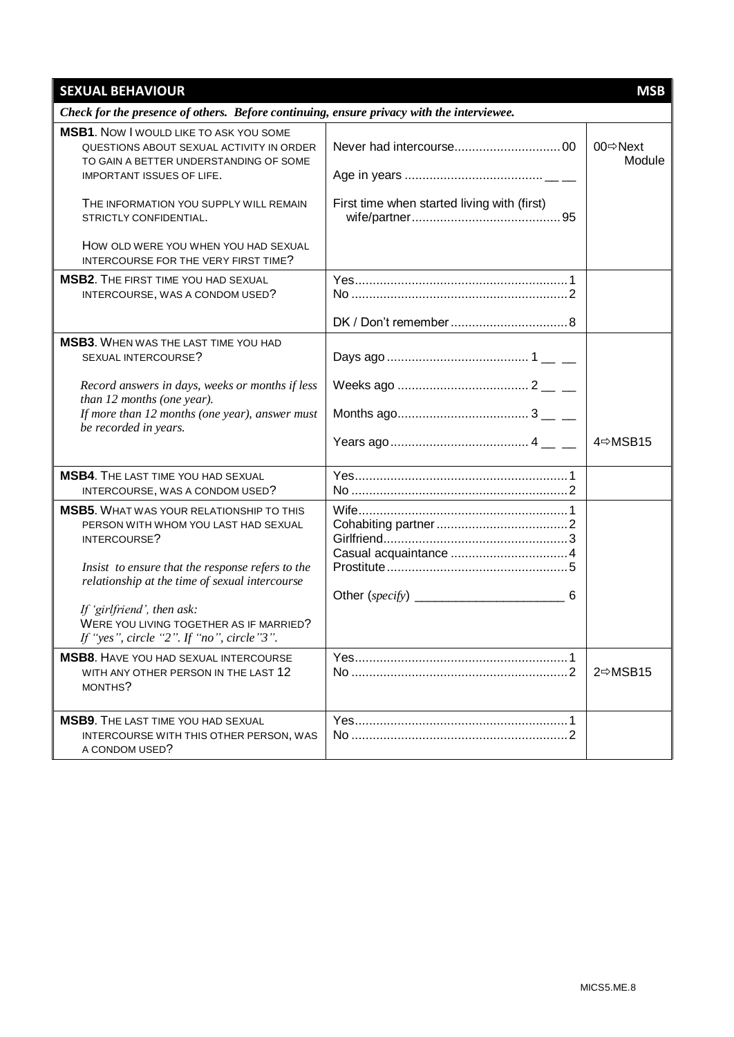| <b>SEXUAL BEHAVIOUR</b>                                                                                                                                                                                       |                                             | <b>MSB</b>        |
|---------------------------------------------------------------------------------------------------------------------------------------------------------------------------------------------------------------|---------------------------------------------|-------------------|
| Check for the presence of others. Before continuing, ensure privacy with the interviewee.                                                                                                                     |                                             |                   |
| <b>MSB1.</b> Now I would like TO ASK YOU SOME<br>QUESTIONS ABOUT SEXUAL ACTIVITY IN ORDER<br>TO GAIN A BETTER UNDERSTANDING OF SOME<br>IMPORTANT ISSUES OF LIFE.                                              |                                             | 00⇔Next<br>Module |
| THE INFORMATION YOU SUPPLY WILL REMAIN<br>STRICTLY CONFIDENTIAL.                                                                                                                                              | First time when started living with (first) |                   |
| HOW OLD WERE YOU WHEN YOU HAD SEXUAL<br>INTERCOURSE FOR THE VERY FIRST TIME?                                                                                                                                  |                                             |                   |
| <b>MSB2.</b> THE FIRST TIME YOU HAD SEXUAL<br>INTERCOURSE, WAS A CONDOM USED?                                                                                                                                 |                                             |                   |
|                                                                                                                                                                                                               |                                             |                   |
| <b>MSB3.</b> WHEN WAS THE LAST TIME YOU HAD<br>SEXUAL INTERCOURSE?                                                                                                                                            |                                             |                   |
| Record answers in days, weeks or months if less<br>than 12 months (one year).                                                                                                                                 |                                             |                   |
| If more than 12 months (one year), answer must<br>be recorded in years.                                                                                                                                       |                                             | 4⇔MSB15           |
|                                                                                                                                                                                                               |                                             |                   |
| <b>MSB4.</b> THE LAST TIME YOU HAD SEXUAL<br>INTERCOURSE, WAS A CONDOM USED?                                                                                                                                  |                                             |                   |
| <b>MSB5.</b> WHAT WAS YOUR RELATIONSHIP TO THIS<br>PERSON WITH WHOM YOU LAST HAD SEXUAL<br>INTERCOURSE?<br>Insist to ensure that the response refers to the<br>relationship at the time of sexual intercourse |                                             |                   |
| If 'girlfriend', then ask:<br>WERE YOU LIVING TOGETHER AS IF MARRIED?<br>If "yes", circle "2". If "no", circle"3".                                                                                            |                                             |                   |
| <b>MSB8.</b> HAVE YOU HAD SEXUAL INTERCOURSE<br>WITH ANY OTHER PERSON IN THE LAST 12<br>MONTHS?                                                                                                               |                                             | 2⇔MSB15           |
| <b>MSB9.</b> THE LAST TIME YOU HAD SEXUAL<br>INTERCOURSE WITH THIS OTHER PERSON, WAS<br>A CONDOM USED?                                                                                                        |                                             |                   |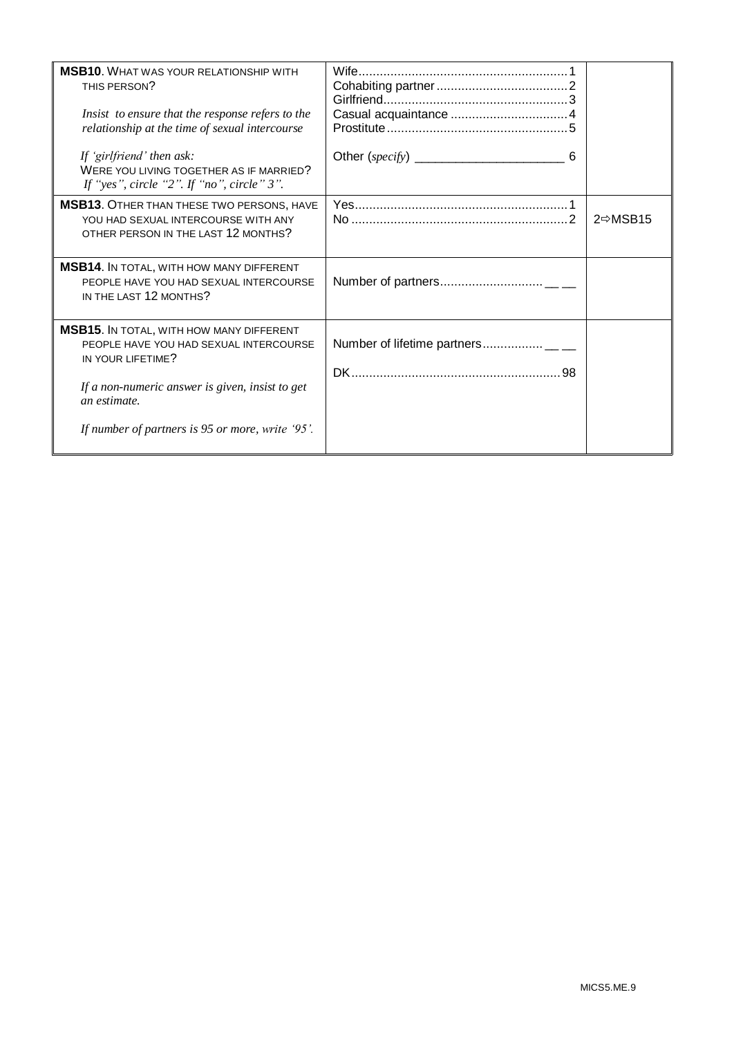| <b>MSB10.</b> WHAT WAS YOUR RELATIONSHIP WITH<br>THIS PERSON?<br>Insist to ensure that the response refers to the<br>relationship at the time of sexual intercourse<br>If 'girlfriend' then ask:<br>WERE YOU LIVING TOGETHER AS IF MARRIED?<br>If "yes", circle "2". If "no", circle" $3$ ". |                       |
|----------------------------------------------------------------------------------------------------------------------------------------------------------------------------------------------------------------------------------------------------------------------------------------------|-----------------------|
| <b>MSB13. OTHER THAN THESE TWO PERSONS, HAVE</b><br>YOU HAD SEXUAL INTERCOURSE WITH ANY<br>OTHER PERSON IN THE LAST 12 MONTHS?                                                                                                                                                               | $2 \Rightarrow MSB15$ |
| <b>MSB14.</b> IN TOTAL, WITH HOW MANY DIFFERENT<br>PEOPLE HAVE YOU HAD SEXUAL INTERCOURSE<br>IN THE LAST 12 MONTHS?                                                                                                                                                                          |                       |
| <b>MSB15. IN TOTAL, WITH HOW MANY DIFFERENT</b><br>PEOPLE HAVE YOU HAD SEXUAL INTERCOURSE<br>IN YOUR LIFETIME?<br>If a non-numeric answer is given, insist to get<br>an estimate.<br>If number of partners is 95 or more, write '95'.                                                        |                       |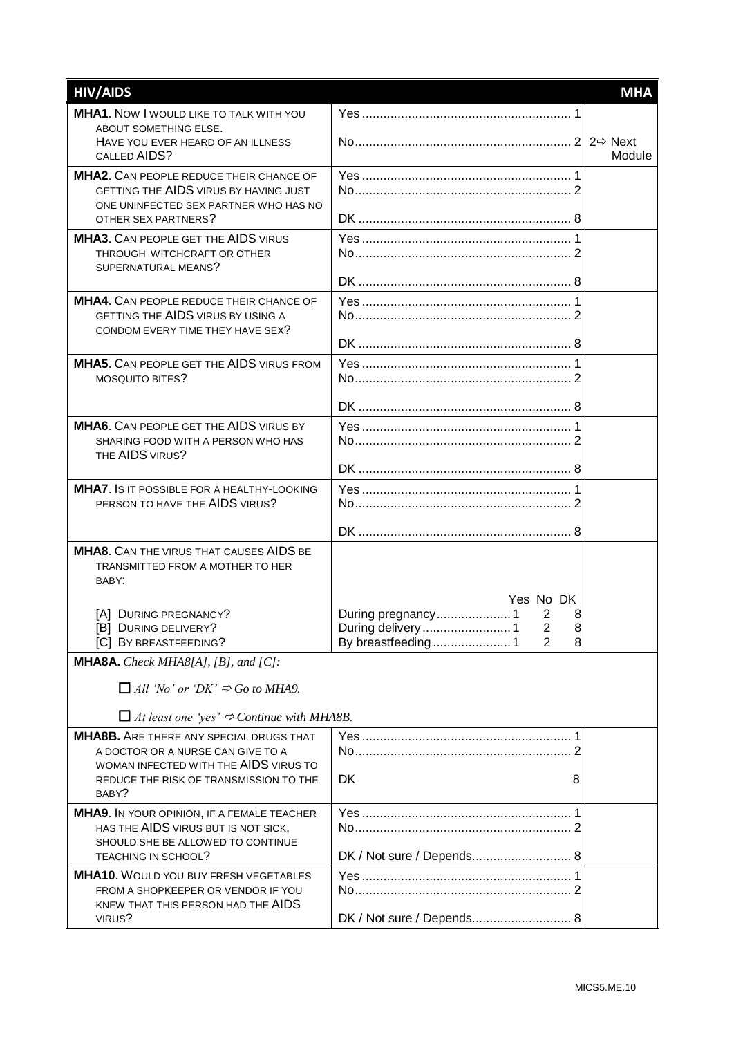| <b>HIV/AIDS</b>                                                                          |                           | <b>MHA</b> |
|------------------------------------------------------------------------------------------|---------------------------|------------|
| <b>MHA1.</b> Now I would LIKE TO TALK WITH YOU                                           |                           |            |
| ABOUT SOMETHING ELSE.<br>HAVE YOU EVER HEARD OF AN ILLNESS                               |                           |            |
| CALLED AIDS?                                                                             |                           | Module     |
| <b>MHA2.</b> CAN PEOPLE REDUCE THEIR CHANCE OF                                           |                           |            |
| GETTING THE AIDS VIRUS BY HAVING JUST<br>ONE UNINFECTED SEX PARTNER WHO HAS NO           |                           |            |
| OTHER SEX PARTNERS?                                                                      |                           |            |
| <b>MHA3.</b> CAN PEOPLE GET THE AIDS VIRUS                                               |                           |            |
| THROUGH WITCHCRAFT OR OTHER<br>SUPERNATURAL MEANS?                                       |                           |            |
|                                                                                          |                           |            |
| <b>MHA4.</b> CAN PEOPLE REDUCE THEIR CHANCE OF                                           |                           |            |
| GETTING THE AIDS VIRUS BY USING A<br>CONDOM EVERY TIME THEY HAVE SEX?                    |                           |            |
|                                                                                          |                           |            |
| <b>MHA5.</b> CAN PEOPLE GET THE AIDS VIRUS FROM                                          |                           |            |
| MOSQUITO BITES?                                                                          |                           |            |
|                                                                                          |                           |            |
| <b>MHA6.</b> CAN PEOPLE GET THE AIDS VIRUS BY                                            |                           |            |
| SHARING FOOD WITH A PERSON WHO HAS<br>THE AIDS VIRUS?                                    |                           |            |
|                                                                                          |                           |            |
| <b>MHA7.</b> IS IT POSSIBLE FOR A HEALTHY-LOOKING                                        |                           |            |
| PERSON TO HAVE THE AIDS VIRUS?                                                           |                           |            |
|                                                                                          |                           |            |
| <b>MHA8.</b> CAN THE VIRUS THAT CAUSES AIDS BE<br>TRANSMITTED FROM A MOTHER TO HER       |                           |            |
| BABY:                                                                                    |                           |            |
|                                                                                          | Yes No DK                 |            |
| [A] DURING PREGNANCY?                                                                    | 2<br>8<br>8               |            |
| [B] DURING DELIVERY?<br>[C] BY BREASTFEEDING?                                            | $\bf{8}$<br>2             |            |
| <b>MHA8A.</b> Check MHA8[A], [B], and $ C $ :                                            |                           |            |
| $\Box$ All 'No' or 'DK' $\Rightarrow$ Go to MHA9.                                        |                           |            |
|                                                                                          |                           |            |
| $\Box$ At least one 'yes' $\Rightarrow$ Continue with MHA8B.                             |                           |            |
| <b>MHA8B.</b> ARE THERE ANY SPECIAL DRUGS THAT<br>A DOCTOR OR A NURSE CAN GIVE TO A      |                           |            |
| WOMAN INFECTED WITH THE AIDS VIRUS TO                                                    |                           |            |
| REDUCE THE RISK OF TRANSMISSION TO THE                                                   | <b>DK</b><br>8            |            |
| BABY?                                                                                    |                           |            |
| <b>MHA9.</b> IN YOUR OPINION, IF A FEMALE TEACHER<br>HAS THE AIDS VIRUS BUT IS NOT SICK, |                           |            |
| SHOULD SHE BE ALLOWED TO CONTINUE                                                        |                           |            |
| <b>TEACHING IN SCHOOL?</b>                                                               | DK / Not sure / Depends 8 |            |
| <b>MHA10.</b> WOULD YOU BUY FRESH VEGETABLES<br>FROM A SHOPKEEPER OR VENDOR IF YOU       |                           |            |
| KNEW THAT THIS PERSON HAD THE AIDS                                                       |                           |            |
| VIRUS?                                                                                   | DK / Not sure / Depends 8 |            |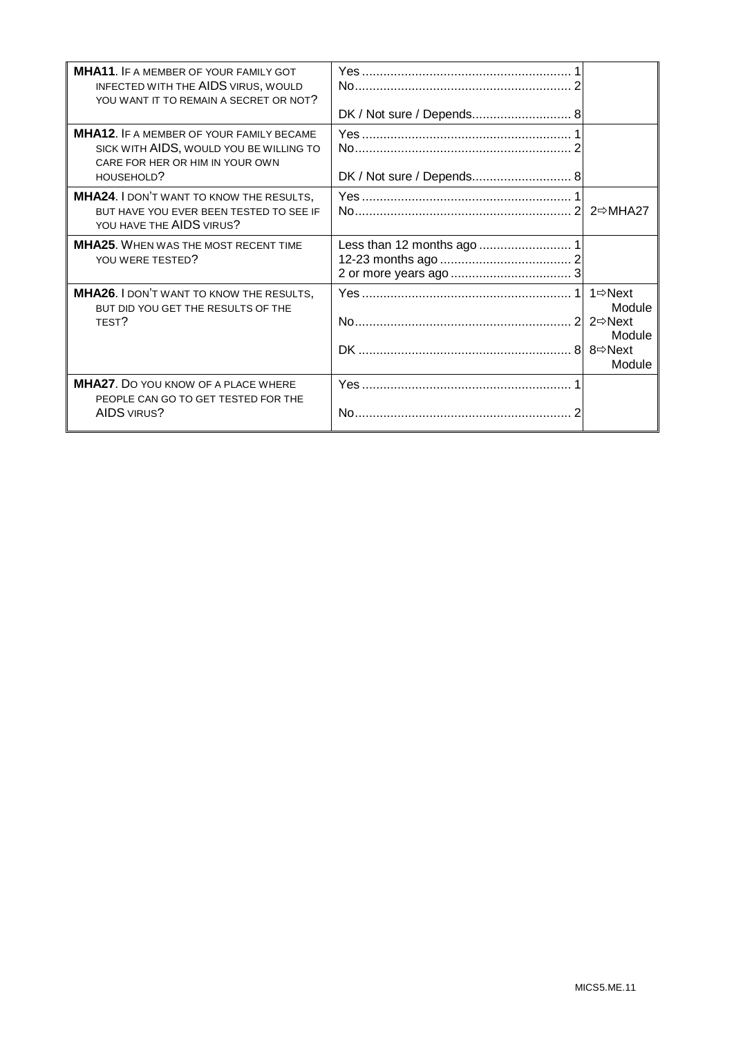| <b>MHA11. IF A MEMBER OF YOUR FAMILY GOT</b><br>INFECTED WITH THE AIDS VIRUS, WOULD<br>YOU WANT IT TO REMAIN A SECRET OR NOT?               | DK / Not sure / Depends 8 |                                                                        |
|---------------------------------------------------------------------------------------------------------------------------------------------|---------------------------|------------------------------------------------------------------------|
| <b>MHA12. IF A MEMBER OF YOUR FAMILY BECAME</b><br>SICK WITH AIDS, WOULD YOU BE WILLING TO<br>CARE FOR HER OR HIM IN YOUR OWN<br>HOUSEHOLD? | DK / Not sure / Depends 8 |                                                                        |
| MHA24. I DON'T WANT TO KNOW THE RESULTS,<br>BUT HAVE YOU EVER BEEN TESTED TO SEE IF<br>YOU HAVE THE AIDS VIRUS?                             |                           |                                                                        |
| <b>MHA25.</b> WHEN WAS THE MOST RECENT TIME<br>YOU WERE TESTED?                                                                             |                           |                                                                        |
| MHA26. I DON'T WANT TO KNOW THE RESULTS,<br>BUT DID YOU GET THE RESULTS OF THE<br>TEST?                                                     |                           | 1⇔Next<br>Module<br>$2 \Rightarrow$ Next<br>Module<br>8⇔Next<br>Module |
| <b>MHA27.</b> DO YOU KNOW OF A PLACE WHERE<br>PEOPLE CAN GO TO GET TESTED FOR THE<br><b>AIDS VIRUS?</b>                                     |                           |                                                                        |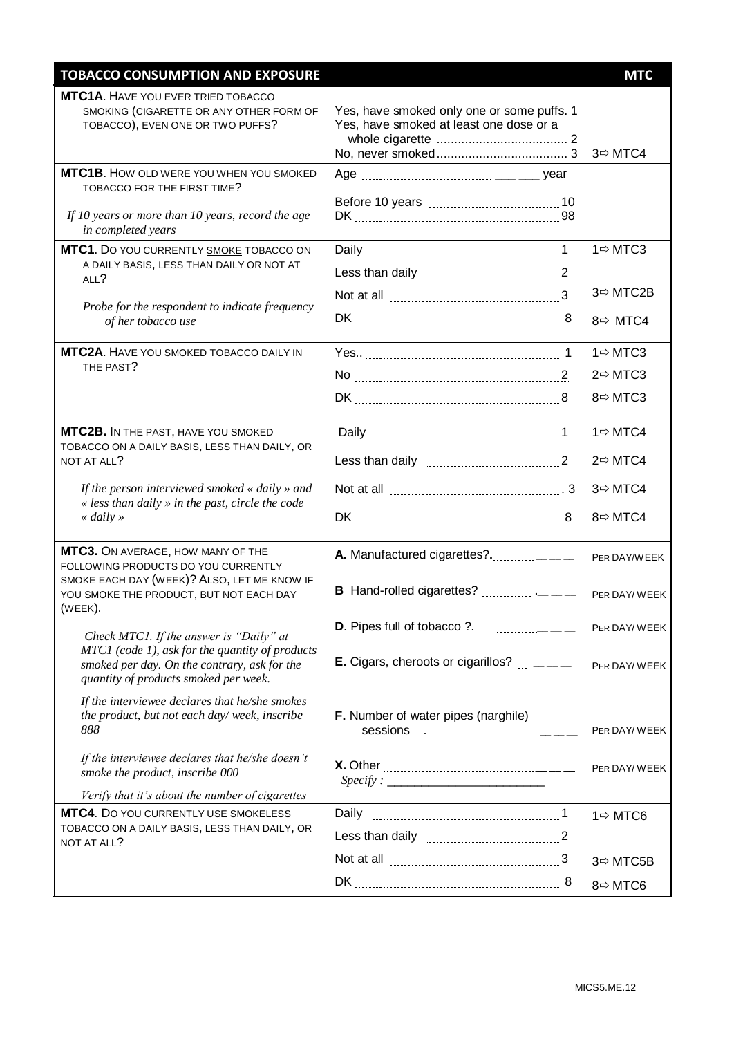| <b>TOBACCO CONSUMPTION AND EXPOSURE</b>                                                                                                  |                                                                                       | <b>MTC</b>           |
|------------------------------------------------------------------------------------------------------------------------------------------|---------------------------------------------------------------------------------------|----------------------|
| MTC1A. HAVE YOU EVER TRIED TOBACCO<br>SMOKING (CIGARETTE OR ANY OTHER FORM OF<br>TOBACCO), EVEN ONE OR TWO PUFFS?                        | Yes, have smoked only one or some puffs. 1<br>Yes, have smoked at least one dose or a | 3 ⇒ MTC4             |
| <b>MTC1B.</b> HOW OLD WERE YOU WHEN YOU SMOKED<br>TOBACCO FOR THE FIRST TIME?                                                            |                                                                                       |                      |
| If 10 years or more than 10 years, record the age<br>in completed years                                                                  |                                                                                       |                      |
| MTC1. DO YOU CURRENTLY SMOKE TOBACCO ON<br>A DAILY BASIS, LESS THAN DAILY OR NOT AT                                                      |                                                                                       | $1 \Rightarrow MTC3$ |
| ALL?                                                                                                                                     |                                                                                       |                      |
| Probe for the respondent to indicate frequency                                                                                           |                                                                                       | 3 ⇒ MTC2B            |
| of her tobacco use                                                                                                                       |                                                                                       | $8 \Rightarrow MTC4$ |
| MTC2A. HAVE YOU SMOKED TOBACCO DAILY IN                                                                                                  |                                                                                       | 1 ⇒ MTC3             |
| THE PAST?                                                                                                                                |                                                                                       | 2 ⇔MTC3              |
|                                                                                                                                          |                                                                                       | 8 ⇒MTC3              |
| MTC2B. IN THE PAST, HAVE YOU SMOKED                                                                                                      | Daily                                                                                 | $1 \Rightarrow MTC4$ |
| TOBACCO ON A DAILY BASIS, LESS THAN DAILY, OR<br>NOT AT ALL?                                                                             |                                                                                       | 2 ⇔MTC4              |
| If the person interviewed smoked « daily » and                                                                                           |                                                                                       | 3 $\Rightarrow$ MTC4 |
| « less than daily » in the past, circle the code<br>« daily »                                                                            |                                                                                       | 8 ⇒MTC4              |
| MTC3. ON AVERAGE, HOW MANY OF THE<br>FOLLOWING PRODUCTS DO YOU CURRENTLY                                                                 |                                                                                       | PER DAY/WEEK         |
| SMOKE EACH DAY (WEEK)? ALSO, LET ME KNOW IF<br>YOU SMOKE THE PRODUCT, BUT NOT EACH DAY<br>(WEEK).                                        | <b>B</b> Hand-rolled cigarettes? $\ldots$ $\ldots$ $\ldots$                           | PER DAY/WEEK         |
| Check MTC1. If the answer is "Daily" at                                                                                                  |                                                                                       | PER DAY/WEEK         |
| MTC1 (code 1), ask for the quantity of products<br>smoked per day. On the contrary, ask for the<br>quantity of products smoked per week. |                                                                                       | PER DAY/WEEK         |
| If the interviewee declares that he/she smokes<br>the product, but not each day/week, inscribe<br>888                                    | F. Number of water pipes (narghile)<br>sessions                                       | PER DAY/WEEK         |
| If the interviewee declares that he/she doesn't<br>smoke the product, inscribe 000                                                       |                                                                                       | PER DAY/WEEK         |
| Verify that it's about the number of cigarettes                                                                                          |                                                                                       |                      |
| MTC4. Do YOU CURRENTLY USE SMOKELESS<br>TOBACCO ON A DAILY BASIS, LESS THAN DAILY, OR                                                    |                                                                                       | 1 ⇒ MTC6             |
| NOT AT ALL?                                                                                                                              |                                                                                       | 3⇒ MTC5B             |
|                                                                                                                                          |                                                                                       | 8⇔ MTC6              |
|                                                                                                                                          |                                                                                       |                      |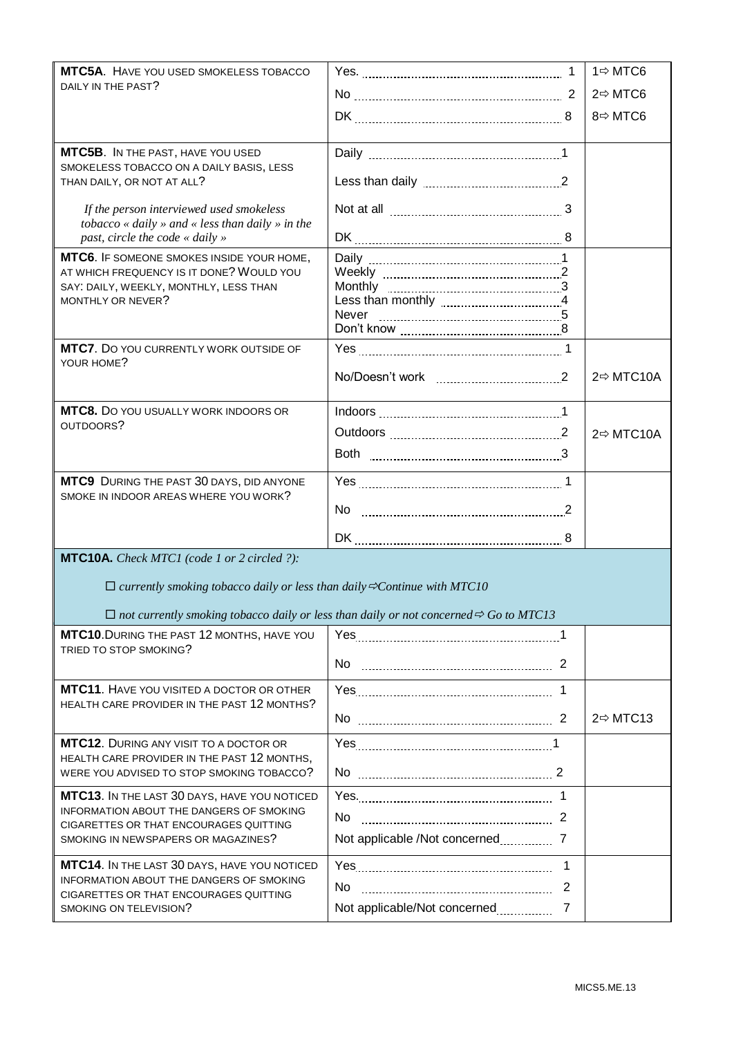| <b>MTC5A.</b> HAVE YOU USED SMOKELESS TOBACCO                                                   |                                                                                                          |   | $1 \Rightarrow MTC6$   |
|-------------------------------------------------------------------------------------------------|----------------------------------------------------------------------------------------------------------|---|------------------------|
| DAILY IN THE PAST?                                                                              | No 2                                                                                                     |   | $2 \Rightarrow MTC6$   |
|                                                                                                 |                                                                                                          |   | 8⇔ MTC6                |
|                                                                                                 |                                                                                                          |   |                        |
| <b>MTC5B.</b> IN THE PAST, HAVE YOU USED<br>SMOKELESS TOBACCO ON A DAILY BASIS, LESS            |                                                                                                          |   |                        |
| THAN DAILY, OR NOT AT ALL?                                                                      |                                                                                                          |   |                        |
| If the person interviewed used smokeless                                                        | Not at all 3                                                                                             |   |                        |
| tobacco « daily » and « less than daily » in the<br>past, circle the code « daily »             |                                                                                                          |   |                        |
| MTC6. IF SOMEONE SMOKES INSIDE YOUR HOME,                                                       |                                                                                                          |   |                        |
| AT WHICH FREQUENCY IS IT DONE? WOULD YOU                                                        |                                                                                                          |   |                        |
| SAY: DAILY, WEEKLY, MONTHLY, LESS THAN<br>MONTHLY OR NEVER?                                     |                                                                                                          |   |                        |
|                                                                                                 | Never                                                                                                    |   |                        |
|                                                                                                 |                                                                                                          |   |                        |
| <b>MTC7.</b> DO YOU CURRENTLY WORK OUTSIDE OF                                                   |                                                                                                          |   |                        |
| YOUR HOME?                                                                                      | No/Doesn't work 2                                                                                        |   | $2 \Rightarrow MTC10A$ |
|                                                                                                 |                                                                                                          |   |                        |
| <b>MTC8.</b> DO YOU USUALLY WORK INDOORS OR<br>OUTDOORS?                                        |                                                                                                          |   |                        |
|                                                                                                 | Outdoors 2                                                                                               |   | $2 \Rightarrow MTC10A$ |
|                                                                                                 |                                                                                                          |   |                        |
| MTC9 DURING THE PAST 30 DAYS, DID ANYONE                                                        |                                                                                                          |   |                        |
| SMOKE IN INDOOR AREAS WHERE YOU WORK?                                                           | No $\sim$ 2                                                                                              |   |                        |
|                                                                                                 |                                                                                                          |   |                        |
| <b>MTC10A.</b> Check MTC1 (code 1 or 2 circled ?):                                              |                                                                                                          |   |                        |
| $\Box$ currently smoking tobacco daily or less than daily $\Rightarrow$ Continue with MTC10     |                                                                                                          |   |                        |
|                                                                                                 |                                                                                                          |   |                        |
|                                                                                                 | $\Box$ not currently smoking tobacco daily or less than daily or not concerned $\Rightarrow$ Go to MTC13 |   |                        |
| MTC10. DURING THE PAST 12 MONTHS, HAVE YOU<br>TRIED TO STOP SMOKING?                            |                                                                                                          |   |                        |
|                                                                                                 | No.                                                                                                      |   |                        |
| <b>MTC11.</b> HAVE YOU VISITED A DOCTOR OR OTHER<br>HEALTH CARE PROVIDER IN THE PAST 12 MONTHS? |                                                                                                          |   |                        |
|                                                                                                 | No 22                                                                                                    |   | $2 \Rightarrow MTC13$  |
| <b>MTC12.</b> DURING ANY VISIT TO A DOCTOR OR                                                   |                                                                                                          |   |                        |
| HEALTH CARE PROVIDER IN THE PAST 12 MONTHS,<br>WERE YOU ADVISED TO STOP SMOKING TOBACCO?        | No 2                                                                                                     |   |                        |
| MTC13. IN THE LAST 30 DAYS, HAVE YOU NOTICED                                                    | Yes. 1                                                                                                   |   |                        |
| INFORMATION ABOUT THE DANGERS OF SMOKING                                                        |                                                                                                          |   |                        |
| CIGARETTES OR THAT ENCOURAGES QUITTING                                                          | No.                                                                                                      |   |                        |
| SMOKING IN NEWSPAPERS OR MAGAZINES?                                                             | Not applicable /Not concerned ___________ 7                                                              |   |                        |
| MTC14. IN THE LAST 30 DAYS, HAVE YOU NOTICED                                                    |                                                                                                          | 1 |                        |
| INFORMATION ABOUT THE DANGERS OF SMOKING                                                        | No                                                                                                       | 2 |                        |
| CIGARETTES OR THAT ENCOURAGES QUITTING<br>SMOKING ON TELEVISION?                                | Not applicable/Not concerned                                                                             | 7 |                        |
|                                                                                                 |                                                                                                          |   |                        |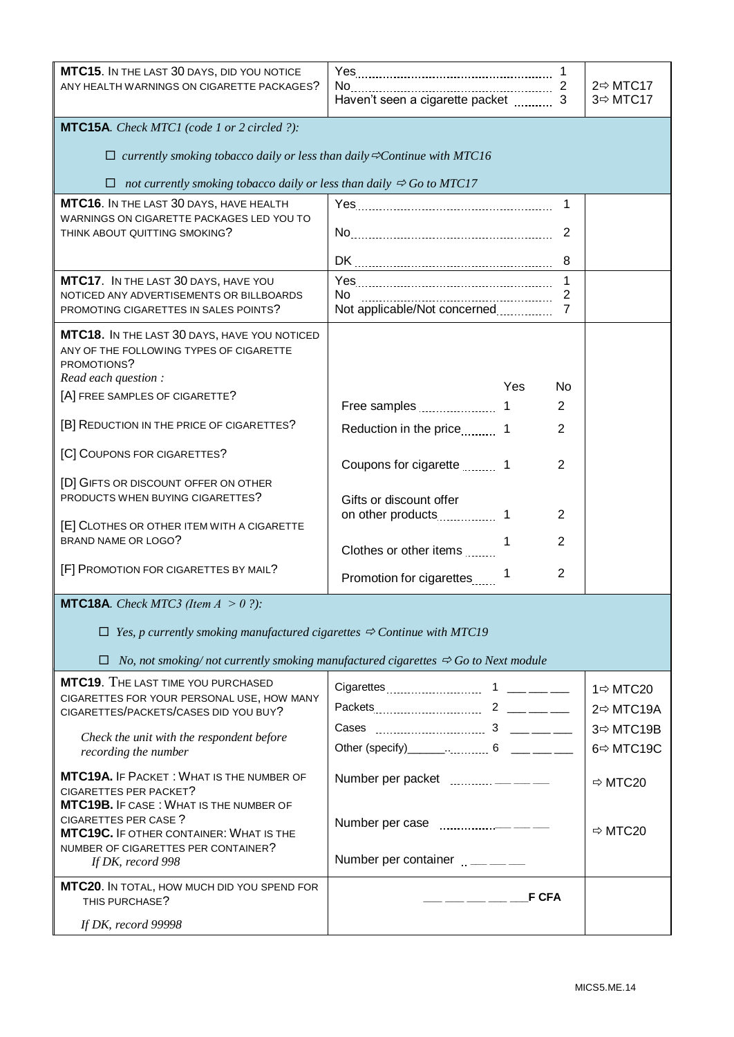| MTC15. IN THE LAST 30 DAYS, DID YOU NOTICE<br>ANY HEALTH WARNINGS ON CIGARETTE PACKAGES?                                                                                                              |                                                                                               |                                     | $2 \Rightarrow MTC17$<br>3 ⇒MTC17                 |
|-------------------------------------------------------------------------------------------------------------------------------------------------------------------------------------------------------|-----------------------------------------------------------------------------------------------|-------------------------------------|---------------------------------------------------|
| <b>MTC15A.</b> Check MTC1 (code 1 or 2 circled ?):                                                                                                                                                    |                                                                                               |                                     |                                                   |
| $\Box$ currently smoking tobacco daily or less than daily $\Im$ Continue with MTC16                                                                                                                   |                                                                                               |                                     |                                                   |
| not currently smoking tobacco daily or less than daily $\Rightarrow$ Go to MTC17                                                                                                                      |                                                                                               |                                     |                                                   |
| MTC16. IN THE LAST 30 DAYS, HAVE HEALTH<br>WARNINGS ON CIGARETTE PACKAGES LED YOU TO<br>THINK ABOUT QUITTING SMOKING?                                                                                 |                                                                                               | $\mathbf{1}$<br>$\overline{2}$<br>8 |                                                   |
| MTC17. IN THE LAST 30 DAYS, HAVE YOU<br>NOTICED ANY ADVERTISEMENTS OR BILLBOARDS<br>PROMOTING CIGARETTES IN SALES POINTS?                                                                             | No.<br>Not applicable/Not concerned                                                           | 1<br>2<br>$\overline{7}$            |                                                   |
| MTC18. IN THE LAST 30 DAYS, HAVE YOU NOTICED<br>ANY OF THE FOLLOWING TYPES OF CIGARETTE<br>PROMOTIONS?<br>Read each question :                                                                        | Yes                                                                                           | No                                  |                                                   |
| [A] FREE SAMPLES OF CIGARETTE?                                                                                                                                                                        |                                                                                               | $\overline{2}$                      |                                                   |
| [B] REDUCTION IN THE PRICE OF CIGARETTES?                                                                                                                                                             | Reduction in the price 11 1                                                                   | 2                                   |                                                   |
| [C] COUPONS FOR CIGARETTES?                                                                                                                                                                           | Coupons for cigarette 11571                                                                   | $\overline{2}$                      |                                                   |
| [D] GIFTS OR DISCOUNT OFFER ON OTHER<br>PRODUCTS WHEN BUYING CIGARETTES?                                                                                                                              | Gifts or discount offer                                                                       |                                     |                                                   |
| [E] CLOTHES OR OTHER ITEM WITH A CIGARETTE<br>BRAND NAME OR LOGO?                                                                                                                                     | Clothes or other items                                                                        | 2<br>2                              |                                                   |
| [F] PROMOTION FOR CIGARETTES BY MAIL?                                                                                                                                                                 | Promotion for cigarettes                                                                      | $\overline{2}$                      |                                                   |
| <b>MTC18A.</b> Check MTC3 (Item $A > 0$ ?):                                                                                                                                                           |                                                                                               |                                     |                                                   |
| $\Box$ Yes, p currently smoking manufactured cigarettes $\Rightarrow$ Continue with MTC19                                                                                                             |                                                                                               |                                     |                                                   |
| □                                                                                                                                                                                                     | No, not smoking/not currently smoking manufactured cigarettes $\Rightarrow$ Go to Next module |                                     |                                                   |
| <b>MTC19.</b> THE LAST TIME YOU PURCHASED<br>CIGARETTES FOR YOUR PERSONAL USE, HOW MANY<br>CIGARETTES/PACKETS/CASES DID YOU BUY?<br>Check the unit with the respondent before<br>recording the number | Other (specify)_______ 6 ____ ___                                                             |                                     | 1 ⇒ MTC20<br>2 ⇔MTC19A<br>3 ⇒ MTC19B<br>6⇔ MTC19C |
| MTC19A. IF PACKET: WHAT IS THE NUMBER OF<br>CIGARETTES PER PACKET?                                                                                                                                    | Number per packet  - - - - - -                                                                |                                     | $Arr$ MTC20                                       |
| <b>MTC19B.</b> IF CASE: WHAT IS THE NUMBER OF<br><b>CIGARETTES PER CASE?</b><br>MTC19C. IF OTHER CONTAINER: WHAT IS THE<br>NUMBER OF CIGARETTES PER CONTAINER?                                        |                                                                                               |                                     | $Arr$ MTC20                                       |
| If DK, record 998                                                                                                                                                                                     | Number per container ______                                                                   |                                     |                                                   |
| MTC20. IN TOTAL, HOW MUCH DID YOU SPEND FOR<br>THIS PURCHASE?                                                                                                                                         | <b>F CFA</b><br>________                                                                      |                                     |                                                   |
| If DK, record 99998                                                                                                                                                                                   |                                                                                               |                                     |                                                   |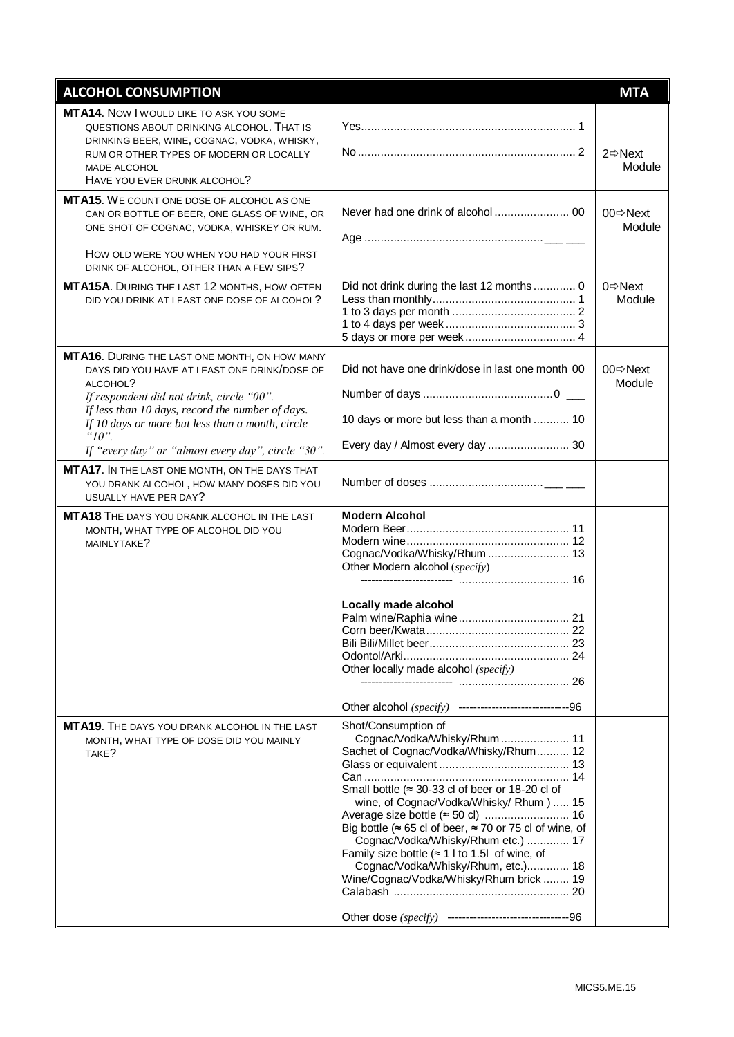| <b>ALCOHOL CONSUMPTION</b>                                                                                                                                                                                                                                                                                                                                                                                                                                                                                                                                                    |                                                                                                                                                                                                                                                                                                                                                                                                                                                                    | <b>MTA</b>                     |
|-------------------------------------------------------------------------------------------------------------------------------------------------------------------------------------------------------------------------------------------------------------------------------------------------------------------------------------------------------------------------------------------------------------------------------------------------------------------------------------------------------------------------------------------------------------------------------|--------------------------------------------------------------------------------------------------------------------------------------------------------------------------------------------------------------------------------------------------------------------------------------------------------------------------------------------------------------------------------------------------------------------------------------------------------------------|--------------------------------|
| <b>MTA14.</b> Now I would like TO ASK YOU SOME<br>QUESTIONS ABOUT DRINKING ALCOHOL. THAT IS<br>DRINKING BEER, WINE, COGNAC, VODKA, WHISKY,<br>RUM OR OTHER TYPES OF MODERN OR LOCALLY<br>MADE ALCOHOL<br>HAVE YOU EVER DRUNK ALCOHOL?                                                                                                                                                                                                                                                                                                                                         |                                                                                                                                                                                                                                                                                                                                                                                                                                                                    | $2 \Rightarrow$ Next<br>Module |
| <b>MTA15.</b> WE COUNT ONE DOSE OF ALCOHOL AS ONE<br>CAN OR BOTTLE OF BEER, ONE GLASS OF WINE, OR<br>ONE SHOT OF COGNAC, VODKA, WHISKEY OR RUM.<br>HOW OLD WERE YOU WHEN YOU HAD YOUR FIRST<br>DRINK OF ALCOHOL, OTHER THAN A FEW SIPS?                                                                                                                                                                                                                                                                                                                                       |                                                                                                                                                                                                                                                                                                                                                                                                                                                                    | 00 <sup>⇔</sup> Next<br>Module |
| <b>MTA15A.</b> DURING THE LAST 12 MONTHS, HOW OFTEN<br>DID YOU DRINK AT LEAST ONE DOSE OF ALCOHOL?                                                                                                                                                                                                                                                                                                                                                                                                                                                                            | Did not drink during the last 12 months  0                                                                                                                                                                                                                                                                                                                                                                                                                         | $0 \Rightarrow$ Next<br>Module |
| <b>MTA16.</b> DURING THE LAST ONE MONTH, ON HOW MANY<br>DAYS DID YOU HAVE AT LEAST ONE DRINK/DOSE OF<br>ALCOHOL?<br>If respondent did not drink, circle "00".<br>If less than 10 days, record the number of days.<br>If 10 days or more but less than a month, circle<br>" $10"$ .<br>If "every day" or "almost every day", circle "30".<br>MTA17. IN THE LAST ONE MONTH, ON THE DAYS THAT<br>YOU DRANK ALCOHOL, HOW MANY DOSES DID YOU<br>USUALLY HAVE PER DAY?<br><b>MTA18</b> THE DAYS YOU DRANK ALCOHOL IN THE LAST<br>MONTH, WHAT TYPE OF ALCOHOL DID YOU<br>MAINLYTAKE? | Did not have one drink/dose in last one month 00<br>10 days or more but less than a month  10<br>Every day / Almost every day  30<br><b>Modern Alcohol</b><br>Cognac/Vodka/Whisky/Rhum  13<br>Other Modern alcohol (specify)<br>Locally made alcohol                                                                                                                                                                                                               | 00 <sup>⇔</sup> Next<br>Module |
|                                                                                                                                                                                                                                                                                                                                                                                                                                                                                                                                                                               | Other locally made alcohol (specify)<br>Other alcohol (specify) ---------------------------------96                                                                                                                                                                                                                                                                                                                                                                |                                |
| MTA19. THE DAYS YOU DRANK ALCOHOL IN THE LAST<br>MONTH, WHAT TYPE OF DOSE DID YOU MAINLY<br>TAKE?                                                                                                                                                                                                                                                                                                                                                                                                                                                                             | Shot/Consumption of<br>Cognac/Vodka/Whisky/Rhum  11<br>Sachet of Cognac/Vodka/Whisky/Rhum 12<br>Small bottle ( $\approx$ 30-33 cl of beer or 18-20 cl of<br>wine, of Cognac/Vodka/Whisky/ Rhum )  15<br>Big bottle ( $\approx$ 65 cl of beer, $\approx$ 70 or 75 cl of wine, of<br>Cognac/Vodka/Whisky/Rhum etc.)  17<br>Family size bottle $($ $\approx$ 1 l to 1.5l of wine, of<br>Cognac/Vodka/Whisky/Rhum, etc.) 18<br>Wine/Cognac/Vodka/Whisky/Rhum brick  19 |                                |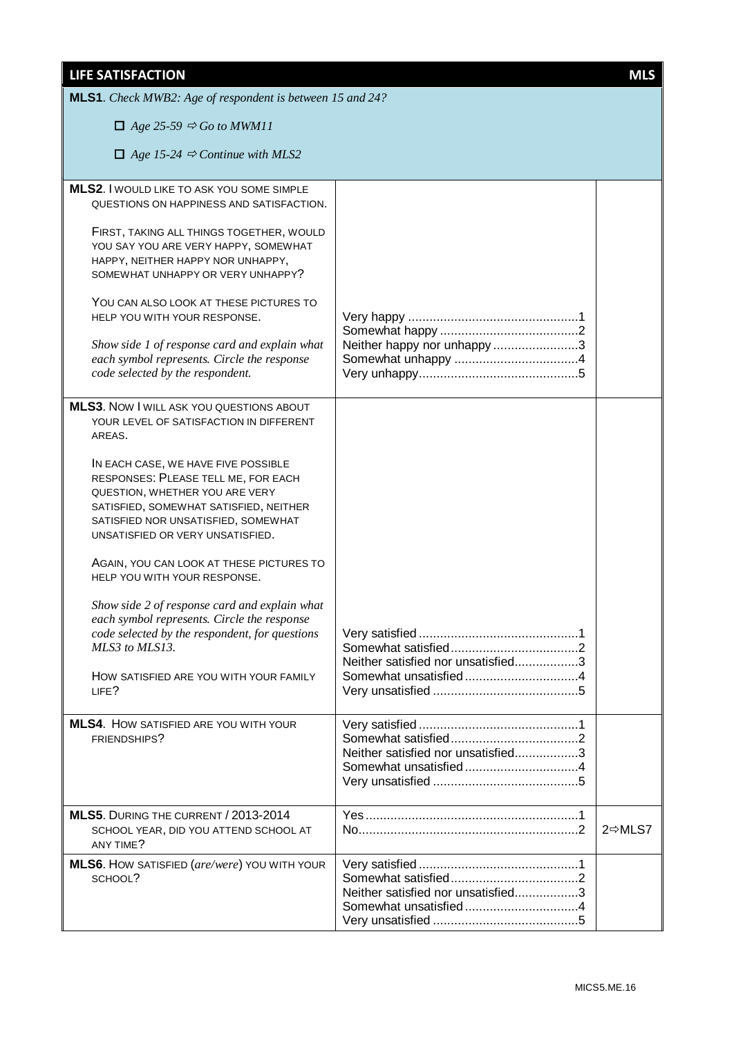| <b>LIFE SATISFACTION</b>                                                                                                                                                                                                          |                                    | <b>MLS</b>         |
|-----------------------------------------------------------------------------------------------------------------------------------------------------------------------------------------------------------------------------------|------------------------------------|--------------------|
| MLS1. Check MWB2: Age of respondent is between 15 and 24?                                                                                                                                                                         |                                    |                    |
| $\Box$ Age 25-59 $\Leftrightarrow$ Go to MWM11                                                                                                                                                                                    |                                    |                    |
| $\Box$ Age 15-24 $\Rightarrow$ Continue with MLS2                                                                                                                                                                                 |                                    |                    |
| <b>MLS2.</b> I WOULD LIKE TO ASK YOU SOME SIMPLE<br>QUESTIONS ON HAPPINESS AND SATISFACTION.                                                                                                                                      |                                    |                    |
| FIRST, TAKING ALL THINGS TOGETHER, WOULD<br>YOU SAY YOU ARE VERY HAPPY, SOMEWHAT<br>HAPPY, NEITHER HAPPY NOR UNHAPPY,<br>SOMEWHAT UNHAPPY OR VERY UNHAPPY?                                                                        |                                    |                    |
| YOU CAN ALSO LOOK AT THESE PICTURES TO<br>HELP YOU WITH YOUR RESPONSE.                                                                                                                                                            |                                    |                    |
| Show side 1 of response card and explain what<br>each symbol represents. Circle the response<br>code selected by the respondent.                                                                                                  | Neither happy nor unhappy 3        |                    |
| <b>MLS3.</b> Now I WILL ASK YOU QUESTIONS ABOUT<br>YOUR LEVEL OF SATISFACTION IN DIFFERENT<br>AREAS.                                                                                                                              |                                    |                    |
| IN EACH CASE, WE HAVE FIVE POSSIBLE<br>RESPONSES: PLEASE TELL ME, FOR EACH<br>QUESTION, WHETHER YOU ARE VERY<br>SATISFIED, SOMEWHAT SATISFIED, NEITHER<br>SATISFIED NOR UNSATISFIED, SOMEWHAT<br>UNSATISFIED OR VERY UNSATISFIED. |                                    |                    |
| AGAIN, YOU CAN LOOK AT THESE PICTURES TO<br>HELP YOU WITH YOUR RESPONSE.                                                                                                                                                          |                                    |                    |
| Show side 2 of response card and explain what<br>each symbol represents. Circle the response<br>code selected by the respondent, for questions<br>MLS3 to MLS13.                                                                  |                                    |                    |
| HOW SATISFIED ARE YOU WITH YOUR FAMILY<br>LIFE?                                                                                                                                                                                   | Neither satisfied nor unsatisfied3 |                    |
| <b>MLS4.</b> How SATISFIED ARE YOU WITH YOUR<br>FRIENDSHIPS?                                                                                                                                                                      | Neither satisfied nor unsatisfied3 |                    |
| MLS5. DURING THE CURRENT / 2013-2014<br>SCHOOL YEAR, DID YOU ATTEND SCHOOL AT<br>ANY TIME?                                                                                                                                        |                                    | 2 <del></del> MLS7 |
| MLS6. HOW SATISFIED (are/were) YOU WITH YOUR<br>SCHOOL?                                                                                                                                                                           | Neither satisfied nor unsatisfied3 |                    |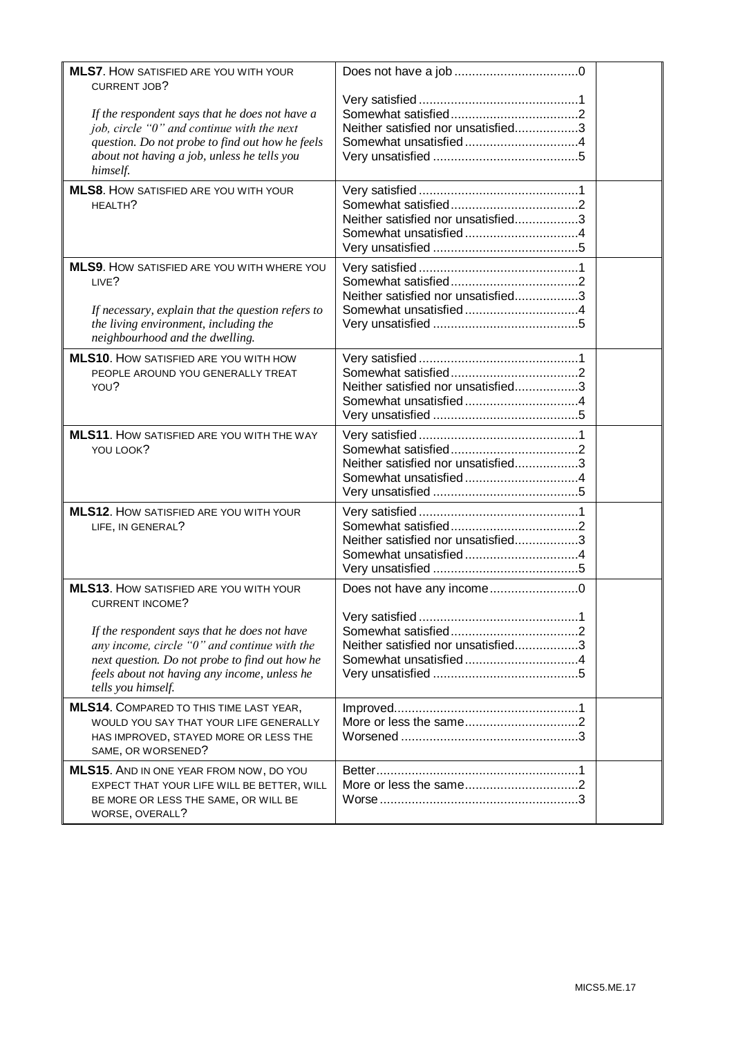| <b>MLS7.</b> HOW SATISFIED ARE YOU WITH YOUR                                                                                                                                                                                                                                                        |                                                                 |  |
|-----------------------------------------------------------------------------------------------------------------------------------------------------------------------------------------------------------------------------------------------------------------------------------------------------|-----------------------------------------------------------------|--|
| <b>CURRENT JOB?</b><br>If the respondent says that he does not have a<br>job, circle "0" and continue with the next<br>question. Do not probe to find out how he feels<br>about not having a job, unless he tells you<br>himself.                                                                   | Neither satisfied nor unsatisfied3                              |  |
| MLS8. HOW SATISFIED ARE YOU WITH YOUR<br>HFAITH?                                                                                                                                                                                                                                                    | Neither satisfied nor unsatisfied3                              |  |
| <b>MLS9.</b> HOW SATISFIED ARE YOU WITH WHERE YOU<br>LIVE?<br>If necessary, explain that the question refers to<br>the living environment, including the<br>neighbourhood and the dwelling.                                                                                                         | Neither satisfied nor unsatisfied3                              |  |
| <b>MLS10.</b> How SATISFIED ARE YOU WITH HOW<br>PEOPLE AROUND YOU GENERALLY TREAT<br>YOU?                                                                                                                                                                                                           | Neither satisfied nor unsatisfied3                              |  |
| <b>MLS11.</b> HOW SATISFIED ARE YOU WITH THE WAY<br>YOU LOOK?                                                                                                                                                                                                                                       | Neither satisfied nor unsatisfied3                              |  |
| <b>MLS12.</b> HOW SATISFIED ARE YOU WITH YOUR<br>LIFE, IN GENERAL?                                                                                                                                                                                                                                  | Neither satisfied nor unsatisfied3                              |  |
| <b>MLS13.</b> HOW SATISFIED ARE YOU WITH YOUR<br><b>CURRENT INCOME?</b><br>If the respondent says that he does not have<br>any income, circle " $0$ " and continue with the<br>next question. Do not probe to find out how he<br>feels about not having any income, unless he<br>tells you himself. | Does not have any income0<br>Neither satisfied nor unsatisfied3 |  |
| MLS14. COMPARED TO THIS TIME LAST YEAR,<br>WOULD YOU SAY THAT YOUR LIFE GENERALLY<br>HAS IMPROVED, STAYED MORE OR LESS THE<br>SAME, OR WORSENED?                                                                                                                                                    |                                                                 |  |
| MLS15. AND IN ONE YEAR FROM NOW, DO YOU<br>EXPECT THAT YOUR LIFE WILL BE BETTER, WILL<br>BE MORE OR LESS THE SAME, OR WILL BE<br>WORSE, OVERALL?                                                                                                                                                    |                                                                 |  |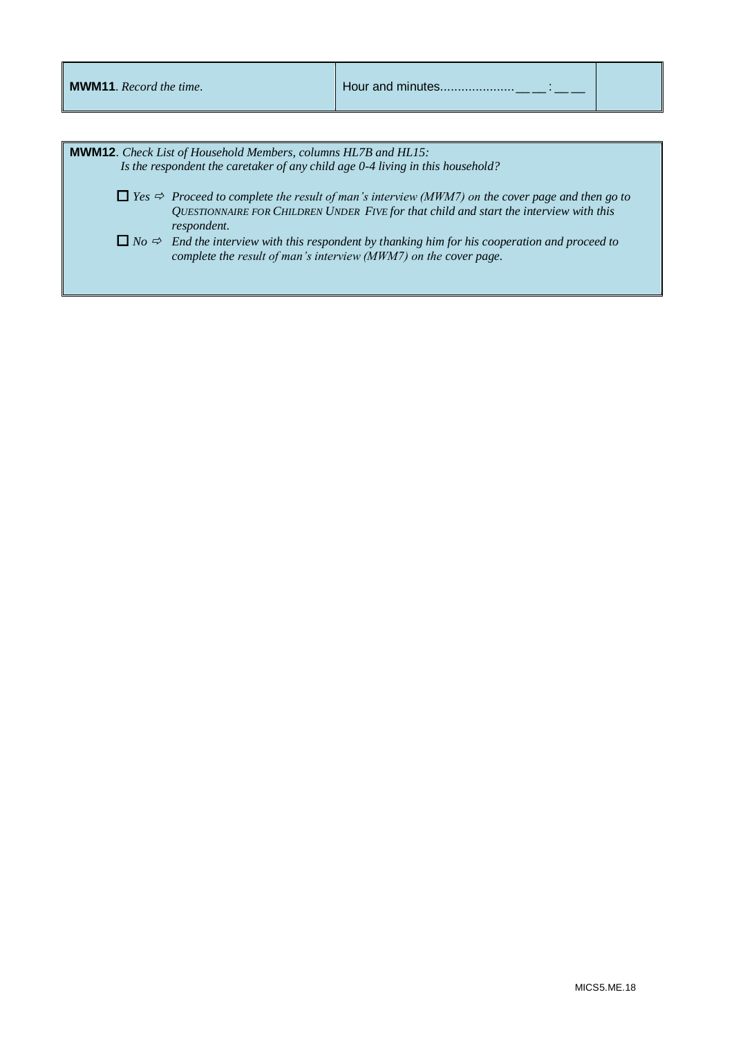| <b>MWM11</b> . Record the time.                                                                                                                                                                                                                                                                               |  |                                                                                                                                                                                       |  |
|---------------------------------------------------------------------------------------------------------------------------------------------------------------------------------------------------------------------------------------------------------------------------------------------------------------|--|---------------------------------------------------------------------------------------------------------------------------------------------------------------------------------------|--|
| <b>MWM12.</b> Check List of Household Members, columns HL7B and HL15:                                                                                                                                                                                                                                         |  |                                                                                                                                                                                       |  |
| Is the respondent the caretaker of any child age 0-4 living in this household?<br>$\Box$ Yes $\Rightarrow$ Proceed to complete the result of man's interview (MWM7) on the cover page and then go to<br>QUESTIONNAIRE FOR CHILDREN UNDER FIVE for that child and start the interview with this<br>respondent. |  |                                                                                                                                                                                       |  |
|                                                                                                                                                                                                                                                                                                               |  | $\Box$ No $\Rightarrow$ End the interview with this respondent by thanking him for his cooperation and proceed to<br>complete the result of man's interview (MWM7) on the cover page. |  |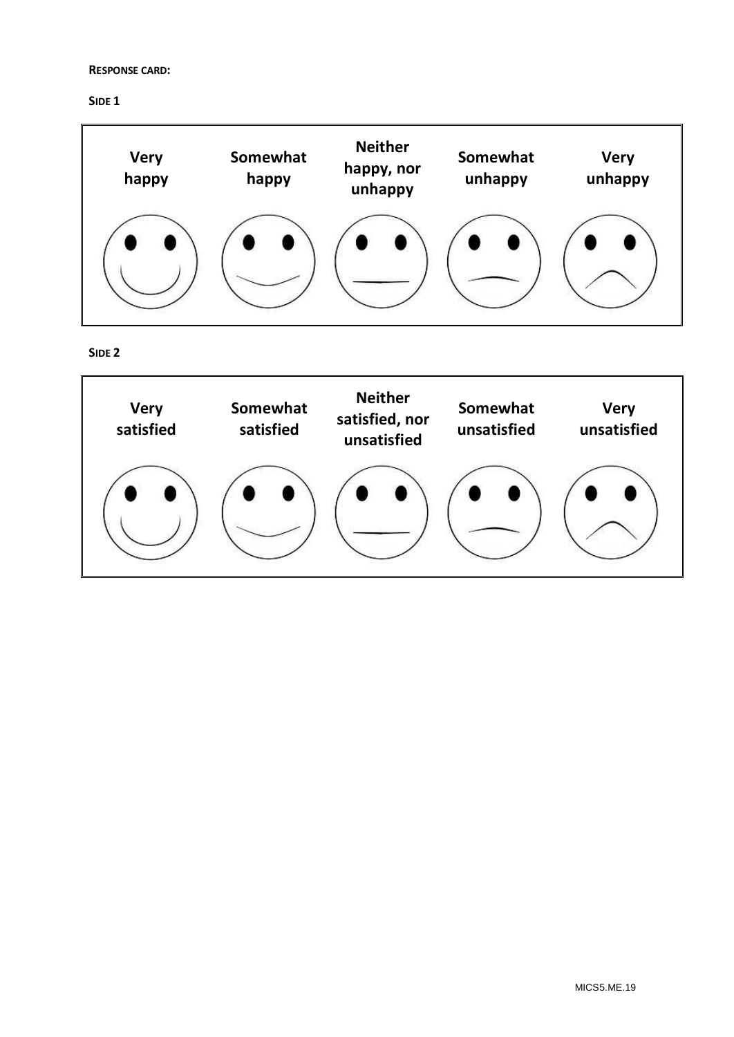## **RESPONSE CARD:**

**SIDE 1**



**SIDE 2**